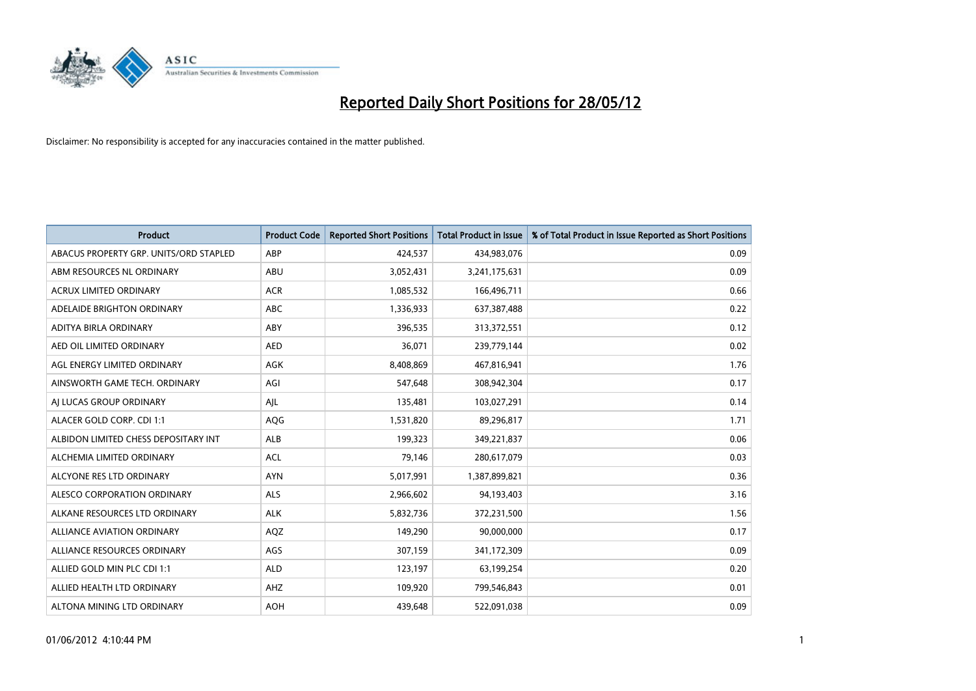

| <b>Product</b>                         | <b>Product Code</b> | <b>Reported Short Positions</b> | <b>Total Product in Issue</b> | % of Total Product in Issue Reported as Short Positions |
|----------------------------------------|---------------------|---------------------------------|-------------------------------|---------------------------------------------------------|
| ABACUS PROPERTY GRP. UNITS/ORD STAPLED | ABP                 | 424,537                         | 434,983,076                   | 0.09                                                    |
| ABM RESOURCES NL ORDINARY              | ABU                 | 3,052,431                       | 3,241,175,631                 | 0.09                                                    |
| <b>ACRUX LIMITED ORDINARY</b>          | <b>ACR</b>          | 1,085,532                       | 166,496,711                   | 0.66                                                    |
| ADELAIDE BRIGHTON ORDINARY             | <b>ABC</b>          | 1,336,933                       | 637,387,488                   | 0.22                                                    |
| ADITYA BIRLA ORDINARY                  | ABY                 | 396,535                         | 313,372,551                   | 0.12                                                    |
| AED OIL LIMITED ORDINARY               | <b>AED</b>          | 36,071                          | 239,779,144                   | 0.02                                                    |
| AGL ENERGY LIMITED ORDINARY            | AGK                 | 8,408,869                       | 467,816,941                   | 1.76                                                    |
| AINSWORTH GAME TECH. ORDINARY          | AGI                 | 547,648                         | 308,942,304                   | 0.17                                                    |
| AI LUCAS GROUP ORDINARY                | AJL                 | 135,481                         | 103,027,291                   | 0.14                                                    |
| ALACER GOLD CORP. CDI 1:1              | AQG                 | 1,531,820                       | 89,296,817                    | 1.71                                                    |
| ALBIDON LIMITED CHESS DEPOSITARY INT   | ALB                 | 199,323                         | 349,221,837                   | 0.06                                                    |
| ALCHEMIA LIMITED ORDINARY              | <b>ACL</b>          | 79,146                          | 280,617,079                   | 0.03                                                    |
| ALCYONE RES LTD ORDINARY               | <b>AYN</b>          | 5,017,991                       | 1,387,899,821                 | 0.36                                                    |
| ALESCO CORPORATION ORDINARY            | ALS                 | 2,966,602                       | 94,193,403                    | 3.16                                                    |
| ALKANE RESOURCES LTD ORDINARY          | <b>ALK</b>          | 5,832,736                       | 372,231,500                   | 1.56                                                    |
| ALLIANCE AVIATION ORDINARY             | AQZ                 | 149,290                         | 90,000,000                    | 0.17                                                    |
| ALLIANCE RESOURCES ORDINARY            | AGS                 | 307,159                         | 341,172,309                   | 0.09                                                    |
| ALLIED GOLD MIN PLC CDI 1:1            | <b>ALD</b>          | 123,197                         | 63,199,254                    | 0.20                                                    |
| ALLIED HEALTH LTD ORDINARY             | AHZ                 | 109,920                         | 799,546,843                   | 0.01                                                    |
| ALTONA MINING LTD ORDINARY             | <b>AOH</b>          | 439,648                         | 522,091,038                   | 0.09                                                    |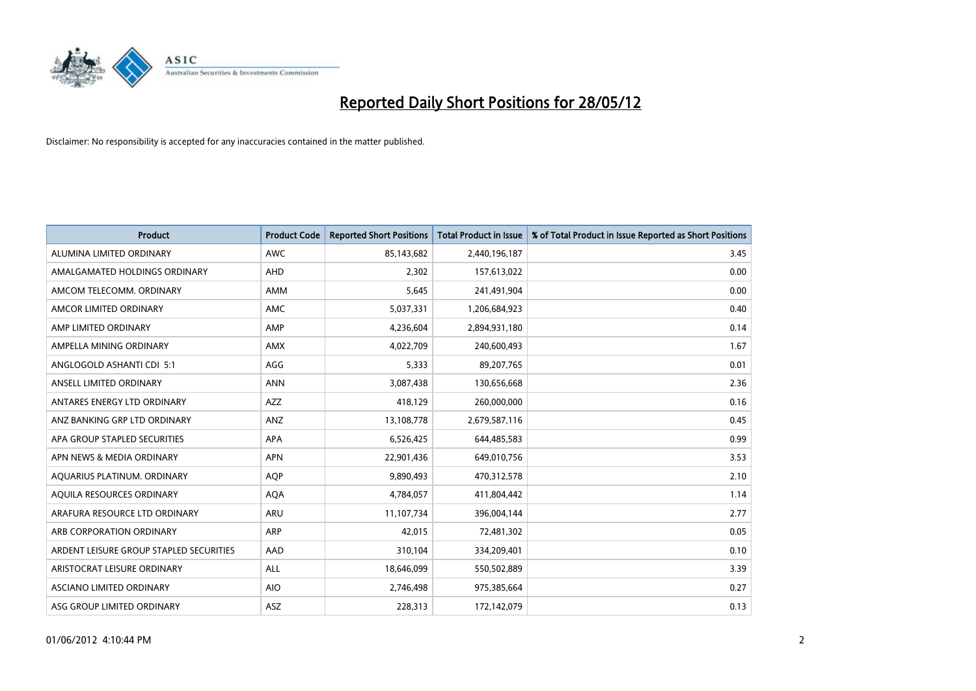

| <b>Product</b>                          | <b>Product Code</b> | <b>Reported Short Positions</b> | <b>Total Product in Issue</b> | % of Total Product in Issue Reported as Short Positions |
|-----------------------------------------|---------------------|---------------------------------|-------------------------------|---------------------------------------------------------|
| ALUMINA LIMITED ORDINARY                | <b>AWC</b>          | 85,143,682                      | 2,440,196,187                 | 3.45                                                    |
| AMALGAMATED HOLDINGS ORDINARY           | AHD                 | 2,302                           | 157,613,022                   | 0.00                                                    |
| AMCOM TELECOMM, ORDINARY                | AMM                 | 5,645                           | 241,491,904                   | 0.00                                                    |
| AMCOR LIMITED ORDINARY                  | <b>AMC</b>          | 5,037,331                       | 1,206,684,923                 | 0.40                                                    |
| AMP LIMITED ORDINARY                    | AMP                 | 4,236,604                       | 2,894,931,180                 | 0.14                                                    |
| AMPELLA MINING ORDINARY                 | <b>AMX</b>          | 4,022,709                       | 240,600,493                   | 1.67                                                    |
| ANGLOGOLD ASHANTI CDI 5:1               | AGG                 | 5,333                           | 89,207,765                    | 0.01                                                    |
| ANSELL LIMITED ORDINARY                 | <b>ANN</b>          | 3,087,438                       | 130,656,668                   | 2.36                                                    |
| ANTARES ENERGY LTD ORDINARY             | AZZ                 | 418,129                         | 260,000,000                   | 0.16                                                    |
| ANZ BANKING GRP LTD ORDINARY            | ANZ                 | 13,108,778                      | 2,679,587,116                 | 0.45                                                    |
| APA GROUP STAPLED SECURITIES            | APA                 | 6,526,425                       | 644,485,583                   | 0.99                                                    |
| APN NEWS & MEDIA ORDINARY               | <b>APN</b>          | 22,901,436                      | 649,010,756                   | 3.53                                                    |
| AQUARIUS PLATINUM. ORDINARY             | <b>AOP</b>          | 9,890,493                       | 470,312,578                   | 2.10                                                    |
| AQUILA RESOURCES ORDINARY               | <b>AQA</b>          | 4,784,057                       | 411,804,442                   | 1.14                                                    |
| ARAFURA RESOURCE LTD ORDINARY           | <b>ARU</b>          | 11,107,734                      | 396,004,144                   | 2.77                                                    |
| ARB CORPORATION ORDINARY                | ARP                 | 42,015                          | 72,481,302                    | 0.05                                                    |
| ARDENT LEISURE GROUP STAPLED SECURITIES | AAD                 | 310,104                         | 334,209,401                   | 0.10                                                    |
| ARISTOCRAT LEISURE ORDINARY             | <b>ALL</b>          | 18,646,099                      | 550,502,889                   | 3.39                                                    |
| ASCIANO LIMITED ORDINARY                | <b>AIO</b>          | 2,746,498                       | 975,385,664                   | 0.27                                                    |
| ASG GROUP LIMITED ORDINARY              | ASZ                 | 228,313                         | 172,142,079                   | 0.13                                                    |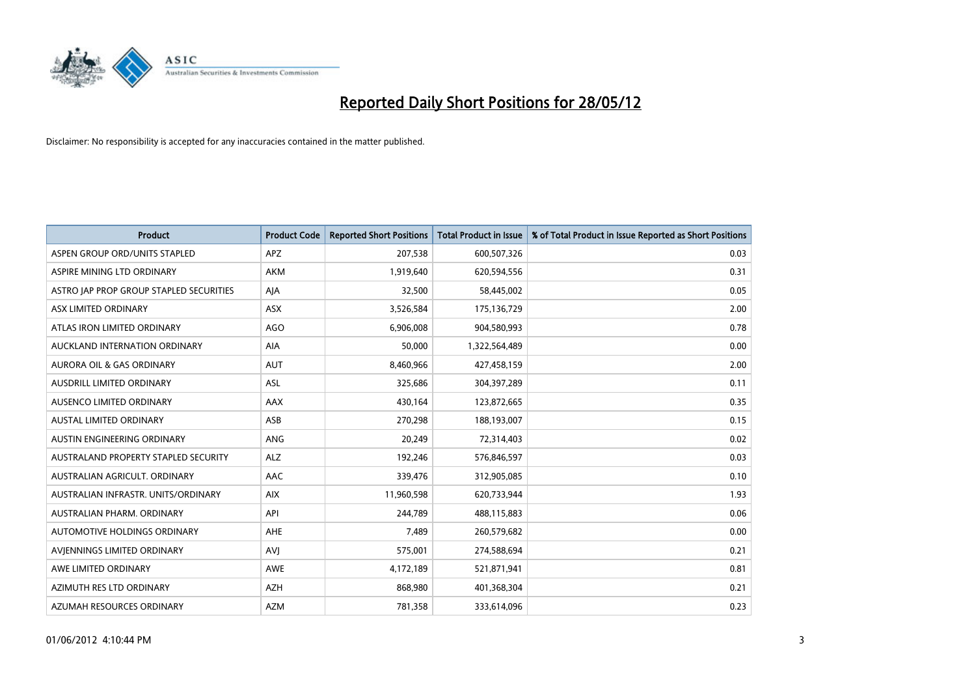

| <b>Product</b>                          | <b>Product Code</b> | <b>Reported Short Positions</b> | <b>Total Product in Issue</b> | % of Total Product in Issue Reported as Short Positions |
|-----------------------------------------|---------------------|---------------------------------|-------------------------------|---------------------------------------------------------|
| ASPEN GROUP ORD/UNITS STAPLED           | <b>APZ</b>          | 207,538                         | 600,507,326                   | 0.03                                                    |
| ASPIRE MINING LTD ORDINARY              | <b>AKM</b>          | 1,919,640                       | 620,594,556                   | 0.31                                                    |
| ASTRO JAP PROP GROUP STAPLED SECURITIES | AJA                 | 32,500                          | 58,445,002                    | 0.05                                                    |
| ASX LIMITED ORDINARY                    | ASX                 | 3,526,584                       | 175,136,729                   | 2.00                                                    |
| ATLAS IRON LIMITED ORDINARY             | <b>AGO</b>          | 6,906,008                       | 904,580,993                   | 0.78                                                    |
| AUCKLAND INTERNATION ORDINARY           | <b>AIA</b>          | 50,000                          | 1,322,564,489                 | 0.00                                                    |
| <b>AURORA OIL &amp; GAS ORDINARY</b>    | <b>AUT</b>          | 8,460,966                       | 427,458,159                   | 2.00                                                    |
| AUSDRILL LIMITED ORDINARY               | ASL                 | 325,686                         | 304,397,289                   | 0.11                                                    |
| AUSENCO LIMITED ORDINARY                | AAX                 | 430,164                         | 123,872,665                   | 0.35                                                    |
| <b>AUSTAL LIMITED ORDINARY</b>          | ASB                 | 270,298                         | 188,193,007                   | 0.15                                                    |
| AUSTIN ENGINEERING ORDINARY             | ANG                 | 20,249                          | 72,314,403                    | 0.02                                                    |
| AUSTRALAND PROPERTY STAPLED SECURITY    | <b>ALZ</b>          | 192,246                         | 576,846,597                   | 0.03                                                    |
| AUSTRALIAN AGRICULT. ORDINARY           | AAC                 | 339,476                         | 312,905,085                   | 0.10                                                    |
| AUSTRALIAN INFRASTR. UNITS/ORDINARY     | <b>AIX</b>          | 11,960,598                      | 620,733,944                   | 1.93                                                    |
| AUSTRALIAN PHARM, ORDINARY              | API                 | 244,789                         | 488,115,883                   | 0.06                                                    |
| AUTOMOTIVE HOLDINGS ORDINARY            | AHE                 | 7,489                           | 260,579,682                   | 0.00                                                    |
| AVIENNINGS LIMITED ORDINARY             | <b>AVJ</b>          | 575,001                         | 274,588,694                   | 0.21                                                    |
| AWE LIMITED ORDINARY                    | <b>AWE</b>          | 4,172,189                       | 521,871,941                   | 0.81                                                    |
| AZIMUTH RES LTD ORDINARY                | <b>AZH</b>          | 868,980                         | 401,368,304                   | 0.21                                                    |
| AZUMAH RESOURCES ORDINARY               | <b>AZM</b>          | 781,358                         | 333,614,096                   | 0.23                                                    |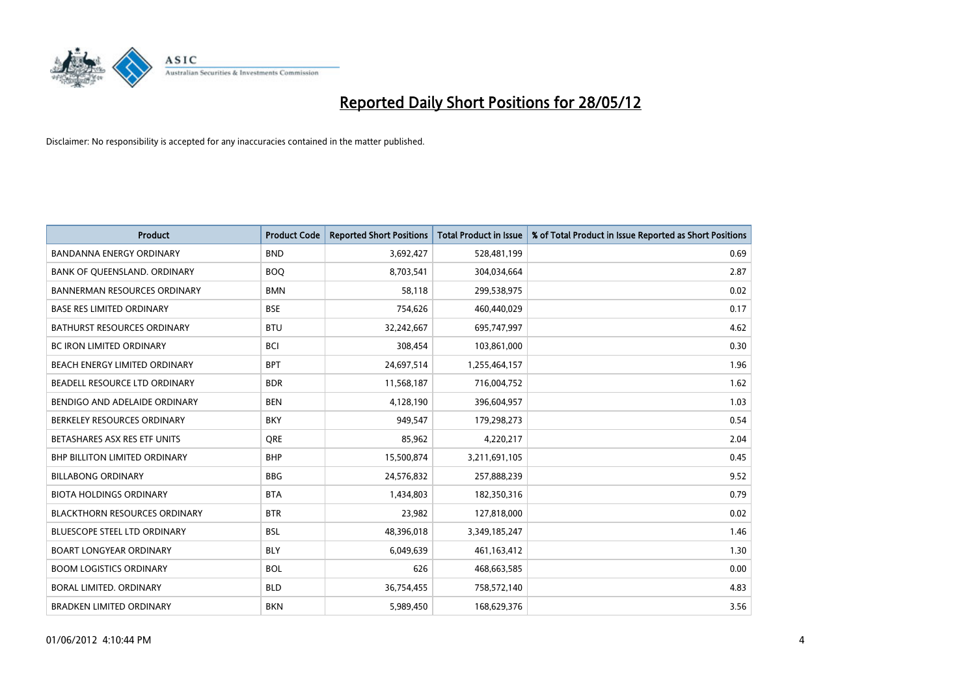

| <b>Product</b>                       | <b>Product Code</b> | <b>Reported Short Positions</b> | <b>Total Product in Issue</b> | % of Total Product in Issue Reported as Short Positions |
|--------------------------------------|---------------------|---------------------------------|-------------------------------|---------------------------------------------------------|
| <b>BANDANNA ENERGY ORDINARY</b>      | <b>BND</b>          | 3,692,427                       | 528,481,199                   | 0.69                                                    |
| BANK OF QUEENSLAND. ORDINARY         | <b>BOQ</b>          | 8,703,541                       | 304,034,664                   | 2.87                                                    |
| <b>BANNERMAN RESOURCES ORDINARY</b>  | <b>BMN</b>          | 58,118                          | 299,538,975                   | 0.02                                                    |
| <b>BASE RES LIMITED ORDINARY</b>     | <b>BSE</b>          | 754,626                         | 460,440,029                   | 0.17                                                    |
| <b>BATHURST RESOURCES ORDINARY</b>   | <b>BTU</b>          | 32,242,667                      | 695,747,997                   | 4.62                                                    |
| <b>BC IRON LIMITED ORDINARY</b>      | <b>BCI</b>          | 308,454                         | 103,861,000                   | 0.30                                                    |
| BEACH ENERGY LIMITED ORDINARY        | <b>BPT</b>          | 24,697,514                      | 1,255,464,157                 | 1.96                                                    |
| BEADELL RESOURCE LTD ORDINARY        | <b>BDR</b>          | 11,568,187                      | 716,004,752                   | 1.62                                                    |
| BENDIGO AND ADELAIDE ORDINARY        | <b>BEN</b>          | 4,128,190                       | 396,604,957                   | 1.03                                                    |
| BERKELEY RESOURCES ORDINARY          | <b>BKY</b>          | 949,547                         | 179,298,273                   | 0.54                                                    |
| BETASHARES ASX RES ETF UNITS         | <b>ORE</b>          | 85,962                          | 4,220,217                     | 2.04                                                    |
| <b>BHP BILLITON LIMITED ORDINARY</b> | <b>BHP</b>          | 15,500,874                      | 3,211,691,105                 | 0.45                                                    |
| <b>BILLABONG ORDINARY</b>            | <b>BBG</b>          | 24,576,832                      | 257,888,239                   | 9.52                                                    |
| <b>BIOTA HOLDINGS ORDINARY</b>       | <b>BTA</b>          | 1,434,803                       | 182,350,316                   | 0.79                                                    |
| <b>BLACKTHORN RESOURCES ORDINARY</b> | <b>BTR</b>          | 23,982                          | 127,818,000                   | 0.02                                                    |
| BLUESCOPE STEEL LTD ORDINARY         | BSL                 | 48,396,018                      | 3,349,185,247                 | 1.46                                                    |
| <b>BOART LONGYEAR ORDINARY</b>       | <b>BLY</b>          | 6,049,639                       | 461,163,412                   | 1.30                                                    |
| <b>BOOM LOGISTICS ORDINARY</b>       | <b>BOL</b>          | 626                             | 468,663,585                   | 0.00                                                    |
| <b>BORAL LIMITED, ORDINARY</b>       | <b>BLD</b>          | 36,754,455                      | 758,572,140                   | 4.83                                                    |
| <b>BRADKEN LIMITED ORDINARY</b>      | <b>BKN</b>          | 5,989,450                       | 168,629,376                   | 3.56                                                    |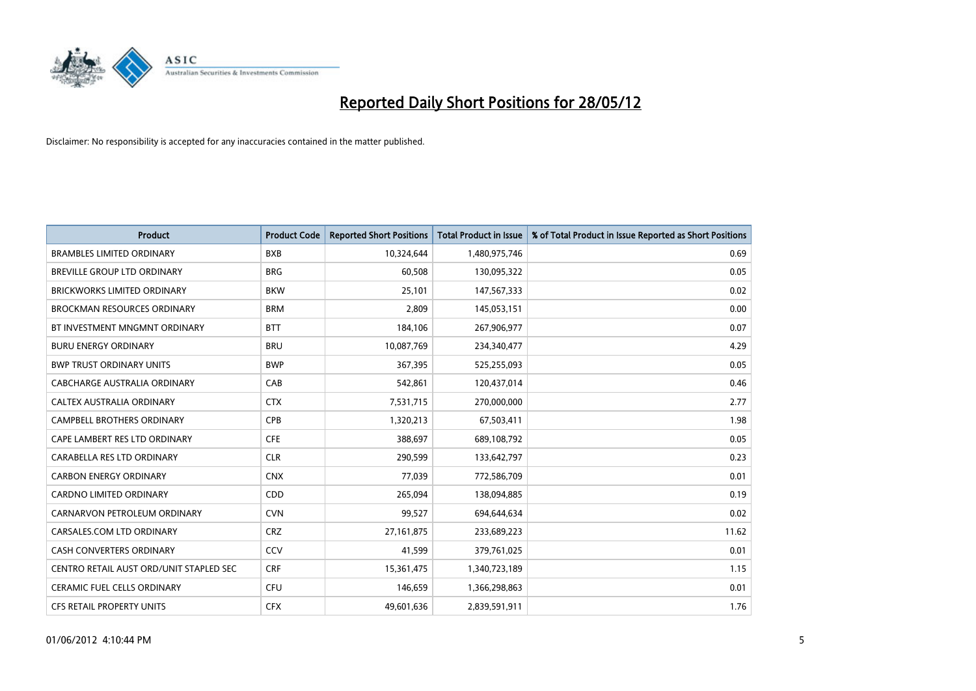

| <b>Product</b>                          | <b>Product Code</b> | <b>Reported Short Positions</b> | <b>Total Product in Issue</b> | % of Total Product in Issue Reported as Short Positions |
|-----------------------------------------|---------------------|---------------------------------|-------------------------------|---------------------------------------------------------|
| <b>BRAMBLES LIMITED ORDINARY</b>        | <b>BXB</b>          | 10,324,644                      | 1,480,975,746                 | 0.69                                                    |
| BREVILLE GROUP LTD ORDINARY             | <b>BRG</b>          | 60,508                          | 130,095,322                   | 0.05                                                    |
| <b>BRICKWORKS LIMITED ORDINARY</b>      | <b>BKW</b>          | 25,101                          | 147,567,333                   | 0.02                                                    |
| BROCKMAN RESOURCES ORDINARY             | <b>BRM</b>          | 2,809                           | 145,053,151                   | 0.00                                                    |
| BT INVESTMENT MNGMNT ORDINARY           | <b>BTT</b>          | 184,106                         | 267,906,977                   | 0.07                                                    |
| <b>BURU ENERGY ORDINARY</b>             | <b>BRU</b>          | 10,087,769                      | 234,340,477                   | 4.29                                                    |
| <b>BWP TRUST ORDINARY UNITS</b>         | <b>BWP</b>          | 367,395                         | 525,255,093                   | 0.05                                                    |
| <b>CABCHARGE AUSTRALIA ORDINARY</b>     | CAB                 | 542,861                         | 120,437,014                   | 0.46                                                    |
| CALTEX AUSTRALIA ORDINARY               | <b>CTX</b>          | 7,531,715                       | 270,000,000                   | 2.77                                                    |
| <b>CAMPBELL BROTHERS ORDINARY</b>       | <b>CPB</b>          | 1,320,213                       | 67,503,411                    | 1.98                                                    |
| CAPE LAMBERT RES LTD ORDINARY           | <b>CFE</b>          | 388,697                         | 689,108,792                   | 0.05                                                    |
| CARABELLA RES LTD ORDINARY              | <b>CLR</b>          | 290,599                         | 133,642,797                   | 0.23                                                    |
| <b>CARBON ENERGY ORDINARY</b>           | <b>CNX</b>          | 77,039                          | 772,586,709                   | 0.01                                                    |
| <b>CARDNO LIMITED ORDINARY</b>          | CDD                 | 265,094                         | 138,094,885                   | 0.19                                                    |
| CARNARVON PETROLEUM ORDINARY            | <b>CVN</b>          | 99,527                          | 694,644,634                   | 0.02                                                    |
| CARSALES.COM LTD ORDINARY               | <b>CRZ</b>          | 27, 161, 875                    | 233,689,223                   | 11.62                                                   |
| CASH CONVERTERS ORDINARY                | CCV                 | 41,599                          | 379,761,025                   | 0.01                                                    |
| CENTRO RETAIL AUST ORD/UNIT STAPLED SEC | <b>CRF</b>          | 15,361,475                      | 1,340,723,189                 | 1.15                                                    |
| CERAMIC FUEL CELLS ORDINARY             | <b>CFU</b>          | 146,659                         | 1,366,298,863                 | 0.01                                                    |
| CFS RETAIL PROPERTY UNITS               | <b>CFX</b>          | 49,601,636                      | 2,839,591,911                 | 1.76                                                    |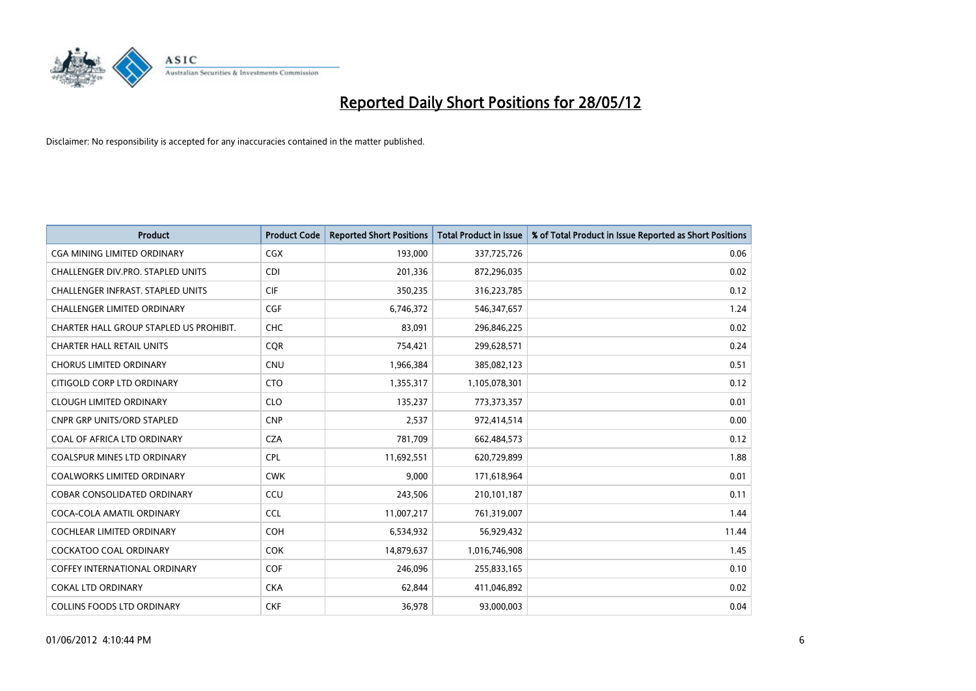

| <b>Product</b>                           | <b>Product Code</b> | <b>Reported Short Positions</b> | <b>Total Product in Issue</b> | % of Total Product in Issue Reported as Short Positions |
|------------------------------------------|---------------------|---------------------------------|-------------------------------|---------------------------------------------------------|
| <b>CGA MINING LIMITED ORDINARY</b>       | CGX                 | 193,000                         | 337,725,726                   | 0.06                                                    |
| CHALLENGER DIV.PRO. STAPLED UNITS        | <b>CDI</b>          | 201,336                         | 872,296,035                   | 0.02                                                    |
| <b>CHALLENGER INFRAST, STAPLED UNITS</b> | <b>CIF</b>          | 350,235                         | 316,223,785                   | 0.12                                                    |
| CHALLENGER LIMITED ORDINARY              | <b>CGF</b>          | 6,746,372                       | 546,347,657                   | 1.24                                                    |
| CHARTER HALL GROUP STAPLED US PROHIBIT.  | <b>CHC</b>          | 83,091                          | 296,846,225                   | 0.02                                                    |
| <b>CHARTER HALL RETAIL UNITS</b>         | CQR                 | 754,421                         | 299,628,571                   | 0.24                                                    |
| <b>CHORUS LIMITED ORDINARY</b>           | <b>CNU</b>          | 1,966,384                       | 385,082,123                   | 0.51                                                    |
| CITIGOLD CORP LTD ORDINARY               | <b>CTO</b>          | 1,355,317                       | 1,105,078,301                 | 0.12                                                    |
| <b>CLOUGH LIMITED ORDINARY</b>           | <b>CLO</b>          | 135,237                         | 773,373,357                   | 0.01                                                    |
| <b>CNPR GRP UNITS/ORD STAPLED</b>        | <b>CNP</b>          | 2,537                           | 972,414,514                   | 0.00                                                    |
| COAL OF AFRICA LTD ORDINARY              | <b>CZA</b>          | 781,709                         | 662,484,573                   | 0.12                                                    |
| <b>COALSPUR MINES LTD ORDINARY</b>       | <b>CPL</b>          | 11,692,551                      | 620,729,899                   | 1.88                                                    |
| COALWORKS LIMITED ORDINARY               | <b>CWK</b>          | 9,000                           | 171,618,964                   | 0.01                                                    |
| <b>COBAR CONSOLIDATED ORDINARY</b>       | CCU                 | 243,506                         | 210,101,187                   | 0.11                                                    |
| COCA-COLA AMATIL ORDINARY                | <b>CCL</b>          | 11,007,217                      | 761,319,007                   | 1.44                                                    |
| COCHLEAR LIMITED ORDINARY                | <b>COH</b>          | 6,534,932                       | 56,929,432                    | 11.44                                                   |
| <b>COCKATOO COAL ORDINARY</b>            | <b>COK</b>          | 14,879,637                      | 1,016,746,908                 | 1.45                                                    |
| <b>COFFEY INTERNATIONAL ORDINARY</b>     | <b>COF</b>          | 246,096                         | 255,833,165                   | 0.10                                                    |
| <b>COKAL LTD ORDINARY</b>                | <b>CKA</b>          | 62,844                          | 411,046,892                   | 0.02                                                    |
| <b>COLLINS FOODS LTD ORDINARY</b>        | <b>CKF</b>          | 36,978                          | 93,000,003                    | 0.04                                                    |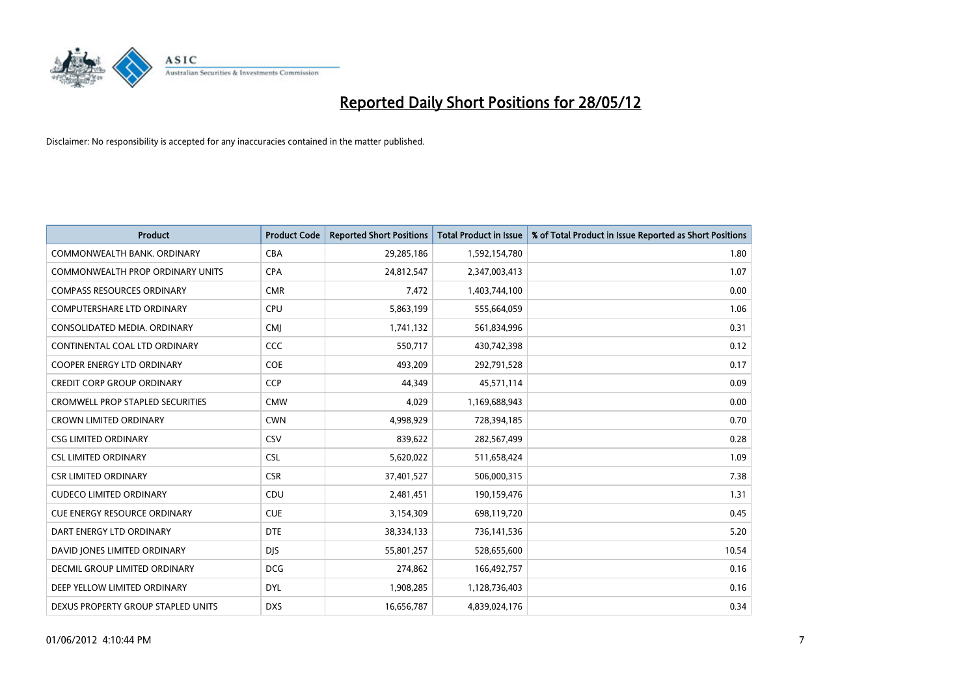

| <b>Product</b>                          | <b>Product Code</b> | <b>Reported Short Positions</b> | Total Product in Issue | % of Total Product in Issue Reported as Short Positions |
|-----------------------------------------|---------------------|---------------------------------|------------------------|---------------------------------------------------------|
| COMMONWEALTH BANK, ORDINARY             | <b>CBA</b>          | 29,285,186                      | 1,592,154,780          | 1.80                                                    |
| <b>COMMONWEALTH PROP ORDINARY UNITS</b> | <b>CPA</b>          | 24,812,547                      | 2,347,003,413          | 1.07                                                    |
| <b>COMPASS RESOURCES ORDINARY</b>       | <b>CMR</b>          | 7,472                           | 1,403,744,100          | 0.00                                                    |
| COMPUTERSHARE LTD ORDINARY              | <b>CPU</b>          | 5,863,199                       | 555,664,059            | 1.06                                                    |
| CONSOLIDATED MEDIA, ORDINARY            | <b>CMI</b>          | 1,741,132                       | 561,834,996            | 0.31                                                    |
| CONTINENTAL COAL LTD ORDINARY           | CCC                 | 550,717                         | 430,742,398            | 0.12                                                    |
| <b>COOPER ENERGY LTD ORDINARY</b>       | <b>COE</b>          | 493,209                         | 292,791,528            | 0.17                                                    |
| <b>CREDIT CORP GROUP ORDINARY</b>       | <b>CCP</b>          | 44,349                          | 45,571,114             | 0.09                                                    |
| <b>CROMWELL PROP STAPLED SECURITIES</b> | <b>CMW</b>          | 4,029                           | 1,169,688,943          | 0.00                                                    |
| <b>CROWN LIMITED ORDINARY</b>           | <b>CWN</b>          | 4,998,929                       | 728,394,185            | 0.70                                                    |
| <b>CSG LIMITED ORDINARY</b>             | CSV                 | 839,622                         | 282,567,499            | 0.28                                                    |
| <b>CSL LIMITED ORDINARY</b>             | <b>CSL</b>          | 5,620,022                       | 511,658,424            | 1.09                                                    |
| <b>CSR LIMITED ORDINARY</b>             | <b>CSR</b>          | 37,401,527                      | 506,000,315            | 7.38                                                    |
| <b>CUDECO LIMITED ORDINARY</b>          | CDU                 | 2,481,451                       | 190,159,476            | 1.31                                                    |
| <b>CUE ENERGY RESOURCE ORDINARY</b>     | <b>CUE</b>          | 3,154,309                       | 698,119,720            | 0.45                                                    |
| DART ENERGY LTD ORDINARY                | <b>DTE</b>          | 38,334,133                      | 736,141,536            | 5.20                                                    |
| DAVID JONES LIMITED ORDINARY            | <b>DJS</b>          | 55,801,257                      | 528,655,600            | 10.54                                                   |
| <b>DECMIL GROUP LIMITED ORDINARY</b>    | <b>DCG</b>          | 274,862                         | 166,492,757            | 0.16                                                    |
| DEEP YELLOW LIMITED ORDINARY            | <b>DYL</b>          | 1,908,285                       | 1,128,736,403          | 0.16                                                    |
| DEXUS PROPERTY GROUP STAPLED UNITS      | <b>DXS</b>          | 16,656,787                      | 4,839,024,176          | 0.34                                                    |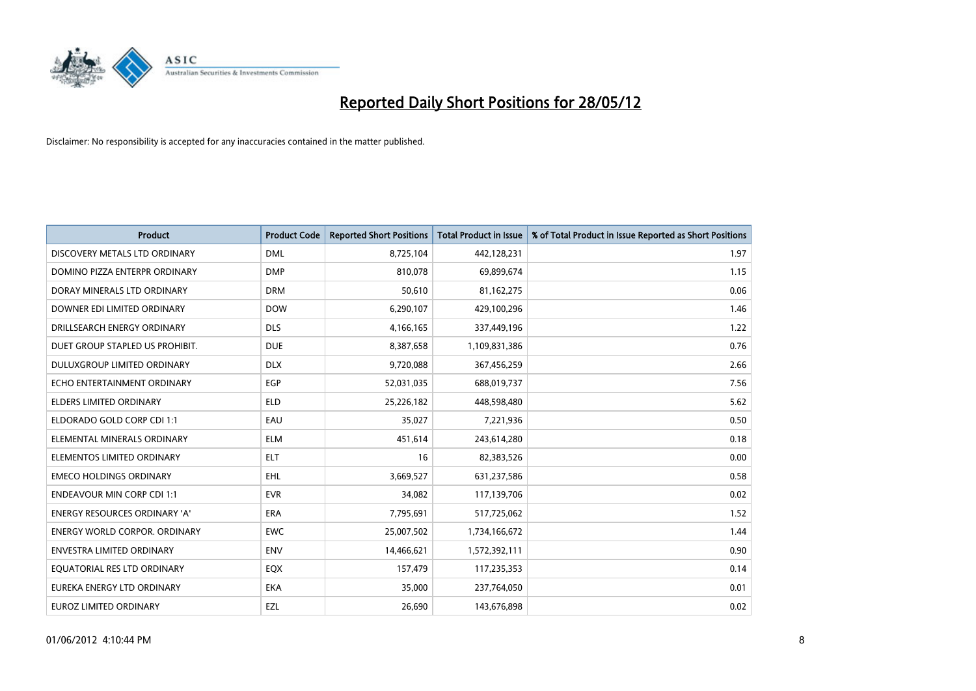

| <b>Product</b>                     | <b>Product Code</b> | <b>Reported Short Positions</b> | <b>Total Product in Issue</b> | % of Total Product in Issue Reported as Short Positions |
|------------------------------------|---------------------|---------------------------------|-------------------------------|---------------------------------------------------------|
| DISCOVERY METALS LTD ORDINARY      | <b>DML</b>          | 8,725,104                       | 442,128,231                   | 1.97                                                    |
| DOMINO PIZZA ENTERPR ORDINARY      | <b>DMP</b>          | 810,078                         | 69,899,674                    | 1.15                                                    |
| DORAY MINERALS LTD ORDINARY        | <b>DRM</b>          | 50,610                          | 81,162,275                    | 0.06                                                    |
| DOWNER EDI LIMITED ORDINARY        | <b>DOW</b>          | 6,290,107                       | 429,100,296                   | 1.46                                                    |
| DRILLSEARCH ENERGY ORDINARY        | <b>DLS</b>          | 4,166,165                       | 337,449,196                   | 1.22                                                    |
| DUET GROUP STAPLED US PROHIBIT.    | <b>DUE</b>          | 8,387,658                       | 1,109,831,386                 | 0.76                                                    |
| <b>DULUXGROUP LIMITED ORDINARY</b> | <b>DLX</b>          | 9,720,088                       | 367,456,259                   | 2.66                                                    |
| ECHO ENTERTAINMENT ORDINARY        | EGP                 | 52,031,035                      | 688,019,737                   | 7.56                                                    |
| <b>ELDERS LIMITED ORDINARY</b>     | <b>ELD</b>          | 25,226,182                      | 448,598,480                   | 5.62                                                    |
| ELDORADO GOLD CORP CDI 1:1         | EAU                 | 35,027                          | 7,221,936                     | 0.50                                                    |
| ELEMENTAL MINERALS ORDINARY        | <b>ELM</b>          | 451,614                         | 243,614,280                   | 0.18                                                    |
| ELEMENTOS LIMITED ORDINARY         | ELT                 | 16                              | 82,383,526                    | 0.00                                                    |
| <b>EMECO HOLDINGS ORDINARY</b>     | <b>EHL</b>          | 3,669,527                       | 631,237,586                   | 0.58                                                    |
| <b>ENDEAVOUR MIN CORP CDI 1:1</b>  | <b>EVR</b>          | 34,082                          | 117,139,706                   | 0.02                                                    |
| ENERGY RESOURCES ORDINARY 'A'      | ERA                 | 7,795,691                       | 517,725,062                   | 1.52                                                    |
| ENERGY WORLD CORPOR. ORDINARY      | <b>EWC</b>          | 25,007,502                      | 1,734,166,672                 | 1.44                                                    |
| <b>ENVESTRA LIMITED ORDINARY</b>   | <b>ENV</b>          | 14,466,621                      | 1,572,392,111                 | 0.90                                                    |
| EQUATORIAL RES LTD ORDINARY        | EQX                 | 157,479                         | 117,235,353                   | 0.14                                                    |
| EUREKA ENERGY LTD ORDINARY         | <b>EKA</b>          | 35,000                          | 237,764,050                   | 0.01                                                    |
| <b>EUROZ LIMITED ORDINARY</b>      | EZL                 | 26,690                          | 143,676,898                   | 0.02                                                    |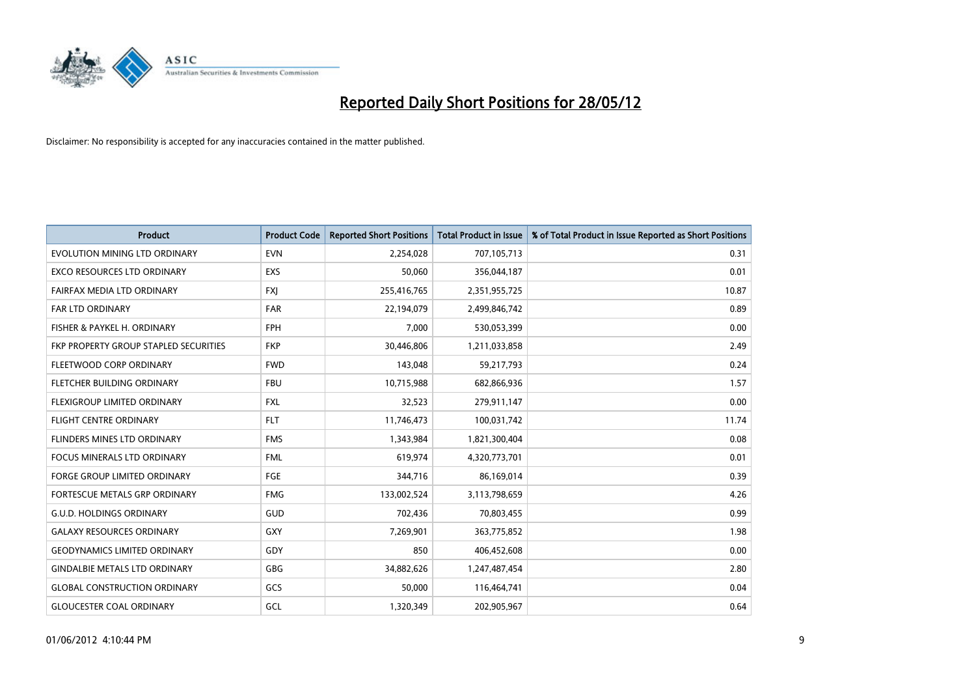

| <b>Product</b>                        | <b>Product Code</b> | <b>Reported Short Positions</b> | <b>Total Product in Issue</b> | % of Total Product in Issue Reported as Short Positions |
|---------------------------------------|---------------------|---------------------------------|-------------------------------|---------------------------------------------------------|
| EVOLUTION MINING LTD ORDINARY         | <b>EVN</b>          | 2,254,028                       | 707,105,713                   | 0.31                                                    |
| EXCO RESOURCES LTD ORDINARY           | <b>EXS</b>          | 50,060                          | 356,044,187                   | 0.01                                                    |
| FAIRFAX MEDIA LTD ORDINARY            | <b>FXJ</b>          | 255,416,765                     | 2,351,955,725                 | 10.87                                                   |
| <b>FAR LTD ORDINARY</b>               | <b>FAR</b>          | 22,194,079                      | 2,499,846,742                 | 0.89                                                    |
| FISHER & PAYKEL H. ORDINARY           | <b>FPH</b>          | 7,000                           | 530,053,399                   | 0.00                                                    |
| FKP PROPERTY GROUP STAPLED SECURITIES | <b>FKP</b>          | 30,446,806                      | 1,211,033,858                 | 2.49                                                    |
| FLEETWOOD CORP ORDINARY               | <b>FWD</b>          | 143,048                         | 59,217,793                    | 0.24                                                    |
| FLETCHER BUILDING ORDINARY            | <b>FBU</b>          | 10,715,988                      | 682,866,936                   | 1.57                                                    |
| FLEXIGROUP LIMITED ORDINARY           | <b>FXL</b>          | 32,523                          | 279,911,147                   | 0.00                                                    |
| <b>FLIGHT CENTRE ORDINARY</b>         | <b>FLT</b>          | 11,746,473                      | 100,031,742                   | 11.74                                                   |
| FLINDERS MINES LTD ORDINARY           | <b>FMS</b>          | 1,343,984                       | 1,821,300,404                 | 0.08                                                    |
| <b>FOCUS MINERALS LTD ORDINARY</b>    | <b>FML</b>          | 619,974                         | 4,320,773,701                 | 0.01                                                    |
| FORGE GROUP LIMITED ORDINARY          | FGE                 | 344,716                         | 86,169,014                    | 0.39                                                    |
| FORTESCUE METALS GRP ORDINARY         | <b>FMG</b>          | 133,002,524                     | 3,113,798,659                 | 4.26                                                    |
| <b>G.U.D. HOLDINGS ORDINARY</b>       | GUD                 | 702,436                         | 70,803,455                    | 0.99                                                    |
| <b>GALAXY RESOURCES ORDINARY</b>      | GXY                 | 7,269,901                       | 363,775,852                   | 1.98                                                    |
| <b>GEODYNAMICS LIMITED ORDINARY</b>   | GDY                 | 850                             | 406,452,608                   | 0.00                                                    |
| <b>GINDALBIE METALS LTD ORDINARY</b>  | <b>GBG</b>          | 34,882,626                      | 1,247,487,454                 | 2.80                                                    |
| <b>GLOBAL CONSTRUCTION ORDINARY</b>   | GCS                 | 50,000                          | 116,464,741                   | 0.04                                                    |
| <b>GLOUCESTER COAL ORDINARY</b>       | GCL                 | 1,320,349                       | 202,905,967                   | 0.64                                                    |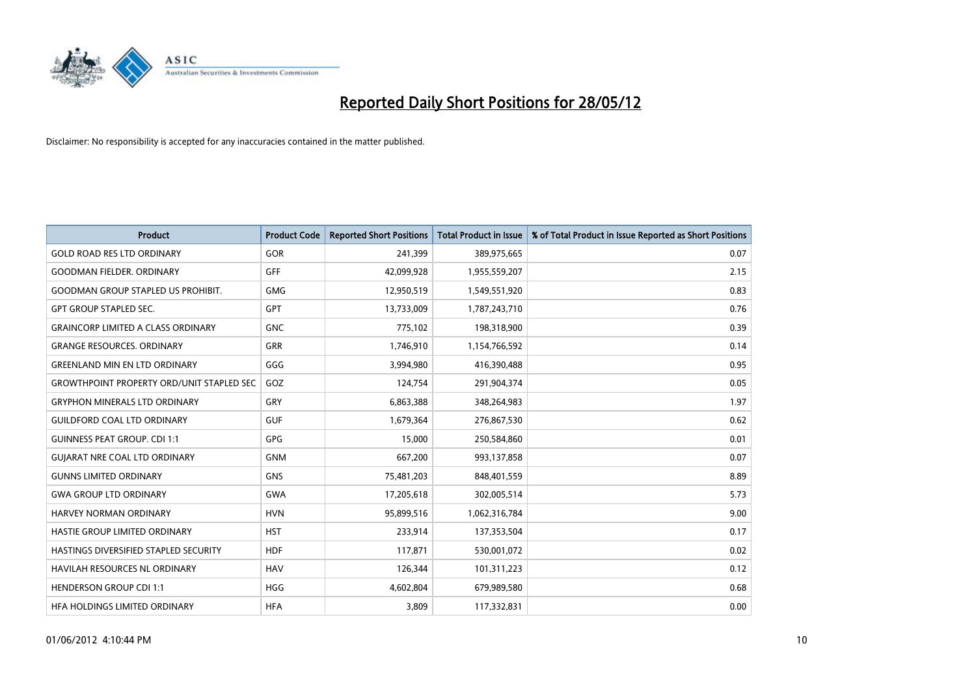

| <b>Product</b>                                   | <b>Product Code</b> | <b>Reported Short Positions</b> | <b>Total Product in Issue</b> | % of Total Product in Issue Reported as Short Positions |
|--------------------------------------------------|---------------------|---------------------------------|-------------------------------|---------------------------------------------------------|
| <b>GOLD ROAD RES LTD ORDINARY</b>                | <b>GOR</b>          | 241,399                         | 389,975,665                   | 0.07                                                    |
| <b>GOODMAN FIELDER, ORDINARY</b>                 | GFF                 | 42,099,928                      | 1,955,559,207                 | 2.15                                                    |
| <b>GOODMAN GROUP STAPLED US PROHIBIT.</b>        | <b>GMG</b>          | 12,950,519                      | 1,549,551,920                 | 0.83                                                    |
| <b>GPT GROUP STAPLED SEC.</b>                    | GPT                 | 13,733,009                      | 1,787,243,710                 | 0.76                                                    |
| <b>GRAINCORP LIMITED A CLASS ORDINARY</b>        | <b>GNC</b>          | 775,102                         | 198,318,900                   | 0.39                                                    |
| <b>GRANGE RESOURCES, ORDINARY</b>                | <b>GRR</b>          | 1,746,910                       | 1,154,766,592                 | 0.14                                                    |
| <b>GREENLAND MIN EN LTD ORDINARY</b>             | GGG                 | 3,994,980                       | 416,390,488                   | 0.95                                                    |
| <b>GROWTHPOINT PROPERTY ORD/UNIT STAPLED SEC</b> | GOZ                 | 124,754                         | 291,904,374                   | 0.05                                                    |
| <b>GRYPHON MINERALS LTD ORDINARY</b>             | GRY                 | 6,863,388                       | 348,264,983                   | 1.97                                                    |
| <b>GUILDFORD COAL LTD ORDINARY</b>               | <b>GUF</b>          | 1,679,364                       | 276,867,530                   | 0.62                                                    |
| <b>GUINNESS PEAT GROUP. CDI 1:1</b>              | <b>GPG</b>          | 15,000                          | 250,584,860                   | 0.01                                                    |
| <b>GUIARAT NRE COAL LTD ORDINARY</b>             | <b>GNM</b>          | 667,200                         | 993,137,858                   | 0.07                                                    |
| <b>GUNNS LIMITED ORDINARY</b>                    | <b>GNS</b>          | 75,481,203                      | 848,401,559                   | 8.89                                                    |
| <b>GWA GROUP LTD ORDINARY</b>                    | <b>GWA</b>          | 17,205,618                      | 302,005,514                   | 5.73                                                    |
| HARVEY NORMAN ORDINARY                           | <b>HVN</b>          | 95,899,516                      | 1,062,316,784                 | 9.00                                                    |
| HASTIE GROUP LIMITED ORDINARY                    | <b>HST</b>          | 233,914                         | 137,353,504                   | 0.17                                                    |
| HASTINGS DIVERSIFIED STAPLED SECURITY            | <b>HDF</b>          | 117,871                         | 530,001,072                   | 0.02                                                    |
| HAVILAH RESOURCES NL ORDINARY                    | <b>HAV</b>          | 126,344                         | 101,311,223                   | 0.12                                                    |
| <b>HENDERSON GROUP CDI 1:1</b>                   | <b>HGG</b>          | 4,602,804                       | 679,989,580                   | 0.68                                                    |
| HFA HOLDINGS LIMITED ORDINARY                    | <b>HFA</b>          | 3,809                           | 117,332,831                   | 0.00                                                    |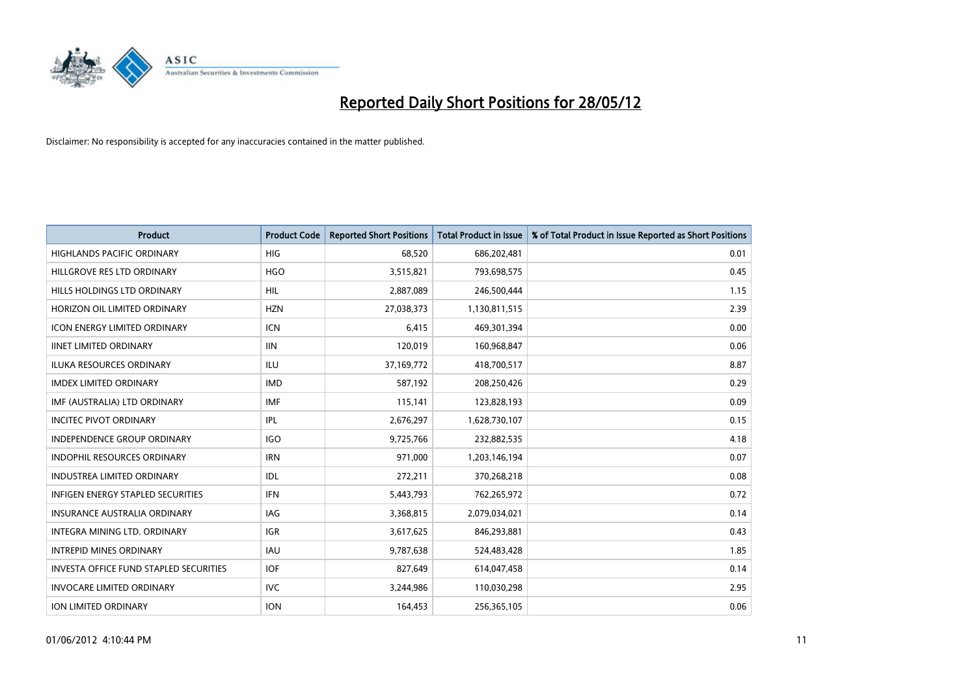

| <b>Product</b>                                | <b>Product Code</b> | <b>Reported Short Positions</b> | <b>Total Product in Issue</b> | % of Total Product in Issue Reported as Short Positions |
|-----------------------------------------------|---------------------|---------------------------------|-------------------------------|---------------------------------------------------------|
| <b>HIGHLANDS PACIFIC ORDINARY</b>             | <b>HIG</b>          | 68,520                          | 686,202,481                   | 0.01                                                    |
| HILLGROVE RES LTD ORDINARY                    | <b>HGO</b>          | 3,515,821                       | 793,698,575                   | 0.45                                                    |
| HILLS HOLDINGS LTD ORDINARY                   | HIL                 | 2,887,089                       | 246,500,444                   | 1.15                                                    |
| HORIZON OIL LIMITED ORDINARY                  | <b>HZN</b>          | 27,038,373                      | 1,130,811,515                 | 2.39                                                    |
| <b>ICON ENERGY LIMITED ORDINARY</b>           | <b>ICN</b>          | 6,415                           | 469,301,394                   | 0.00                                                    |
| <b>IINET LIMITED ORDINARY</b>                 | <b>IIN</b>          | 120,019                         | 160,968,847                   | 0.06                                                    |
| ILUKA RESOURCES ORDINARY                      | ILU                 | 37,169,772                      | 418,700,517                   | 8.87                                                    |
| <b>IMDEX LIMITED ORDINARY</b>                 | <b>IMD</b>          | 587,192                         | 208,250,426                   | 0.29                                                    |
| IMF (AUSTRALIA) LTD ORDINARY                  | <b>IMF</b>          | 115,141                         | 123,828,193                   | 0.09                                                    |
| <b>INCITEC PIVOT ORDINARY</b>                 | IPL                 | 2,676,297                       | 1,628,730,107                 | 0.15                                                    |
| INDEPENDENCE GROUP ORDINARY                   | <b>IGO</b>          | 9,725,766                       | 232,882,535                   | 4.18                                                    |
| <b>INDOPHIL RESOURCES ORDINARY</b>            | <b>IRN</b>          | 971,000                         | 1,203,146,194                 | 0.07                                                    |
| <b>INDUSTREA LIMITED ORDINARY</b>             | IDL                 | 272,211                         | 370,268,218                   | 0.08                                                    |
| <b>INFIGEN ENERGY STAPLED SECURITIES</b>      | <b>IFN</b>          | 5,443,793                       | 762,265,972                   | 0.72                                                    |
| <b>INSURANCE AUSTRALIA ORDINARY</b>           | IAG                 | 3,368,815                       | 2,079,034,021                 | 0.14                                                    |
| INTEGRA MINING LTD, ORDINARY                  | <b>IGR</b>          | 3,617,625                       | 846,293,881                   | 0.43                                                    |
| <b>INTREPID MINES ORDINARY</b>                | <b>IAU</b>          | 9,787,638                       | 524,483,428                   | 1.85                                                    |
| <b>INVESTA OFFICE FUND STAPLED SECURITIES</b> | <b>IOF</b>          | 827,649                         | 614,047,458                   | 0.14                                                    |
| <b>INVOCARE LIMITED ORDINARY</b>              | <b>IVC</b>          | 3,244,986                       | 110,030,298                   | 2.95                                                    |
| ION LIMITED ORDINARY                          | <b>ION</b>          | 164,453                         | 256,365,105                   | 0.06                                                    |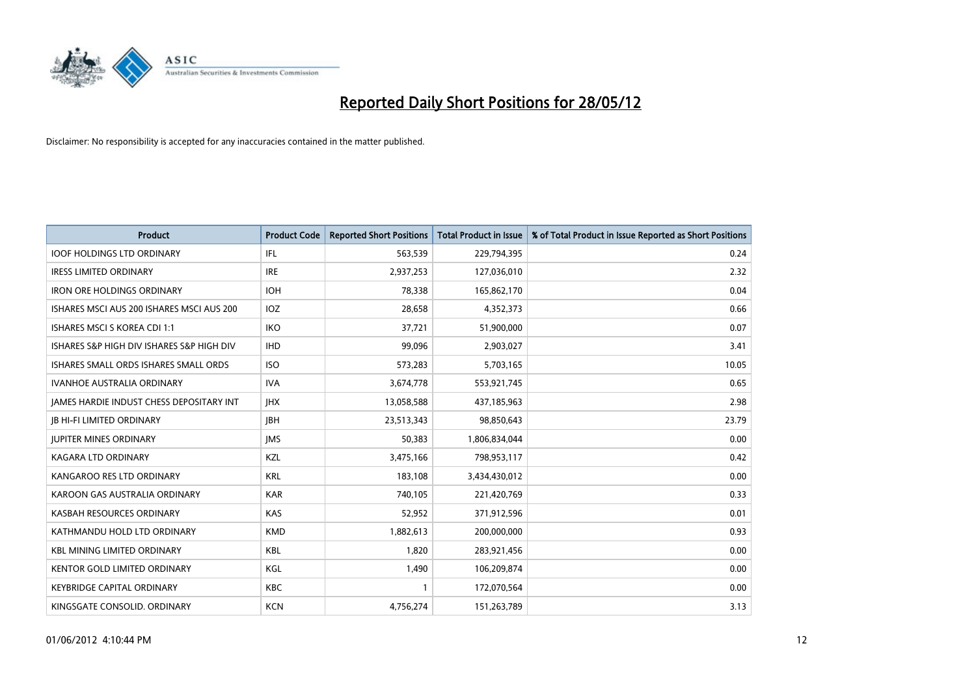

| <b>Product</b>                            | <b>Product Code</b> | <b>Reported Short Positions</b> | <b>Total Product in Issue</b> | % of Total Product in Issue Reported as Short Positions |
|-------------------------------------------|---------------------|---------------------------------|-------------------------------|---------------------------------------------------------|
| <b>IOOF HOLDINGS LTD ORDINARY</b>         | IFL                 | 563,539                         | 229,794,395                   | 0.24                                                    |
| <b>IRESS LIMITED ORDINARY</b>             | <b>IRE</b>          | 2,937,253                       | 127,036,010                   | 2.32                                                    |
| <b>IRON ORE HOLDINGS ORDINARY</b>         | <b>IOH</b>          | 78,338                          | 165,862,170                   | 0.04                                                    |
| ISHARES MSCI AUS 200 ISHARES MSCI AUS 200 | <b>IOZ</b>          | 28,658                          | 4,352,373                     | 0.66                                                    |
| ISHARES MSCI S KOREA CDI 1:1              | IKO                 | 37,721                          | 51,900,000                    | 0.07                                                    |
| ISHARES S&P HIGH DIV ISHARES S&P HIGH DIV | <b>IHD</b>          | 99,096                          | 2,903,027                     | 3.41                                                    |
| ISHARES SMALL ORDS ISHARES SMALL ORDS     | <b>ISO</b>          | 573,283                         | 5,703,165                     | 10.05                                                   |
| <b>IVANHOE AUSTRALIA ORDINARY</b>         | <b>IVA</b>          | 3,674,778                       | 553,921,745                   | 0.65                                                    |
| JAMES HARDIE INDUST CHESS DEPOSITARY INT  | <b>JHX</b>          | 13,058,588                      | 437,185,963                   | 2.98                                                    |
| <b>JB HI-FI LIMITED ORDINARY</b>          | <b>IBH</b>          | 23,513,343                      | 98,850,643                    | 23.79                                                   |
| <b>JUPITER MINES ORDINARY</b>             | <b>IMS</b>          | 50,383                          | 1,806,834,044                 | 0.00                                                    |
| <b>KAGARA LTD ORDINARY</b>                | <b>KZL</b>          | 3,475,166                       | 798,953,117                   | 0.42                                                    |
| KANGAROO RES LTD ORDINARY                 | <b>KRL</b>          | 183,108                         | 3,434,430,012                 | 0.00                                                    |
| KAROON GAS AUSTRALIA ORDINARY             | <b>KAR</b>          | 740,105                         | 221,420,769                   | 0.33                                                    |
| KASBAH RESOURCES ORDINARY                 | <b>KAS</b>          | 52,952                          | 371,912,596                   | 0.01                                                    |
| KATHMANDU HOLD LTD ORDINARY               | <b>KMD</b>          | 1,882,613                       | 200,000,000                   | 0.93                                                    |
| <b>KBL MINING LIMITED ORDINARY</b>        | KBL                 | 1,820                           | 283,921,456                   | 0.00                                                    |
| <b>KENTOR GOLD LIMITED ORDINARY</b>       | KGL                 | 1,490                           | 106,209,874                   | 0.00                                                    |
| <b>KEYBRIDGE CAPITAL ORDINARY</b>         | <b>KBC</b>          | $\mathbf{1}$                    | 172,070,564                   | 0.00                                                    |
| KINGSGATE CONSOLID. ORDINARY              | <b>KCN</b>          | 4,756,274                       | 151,263,789                   | 3.13                                                    |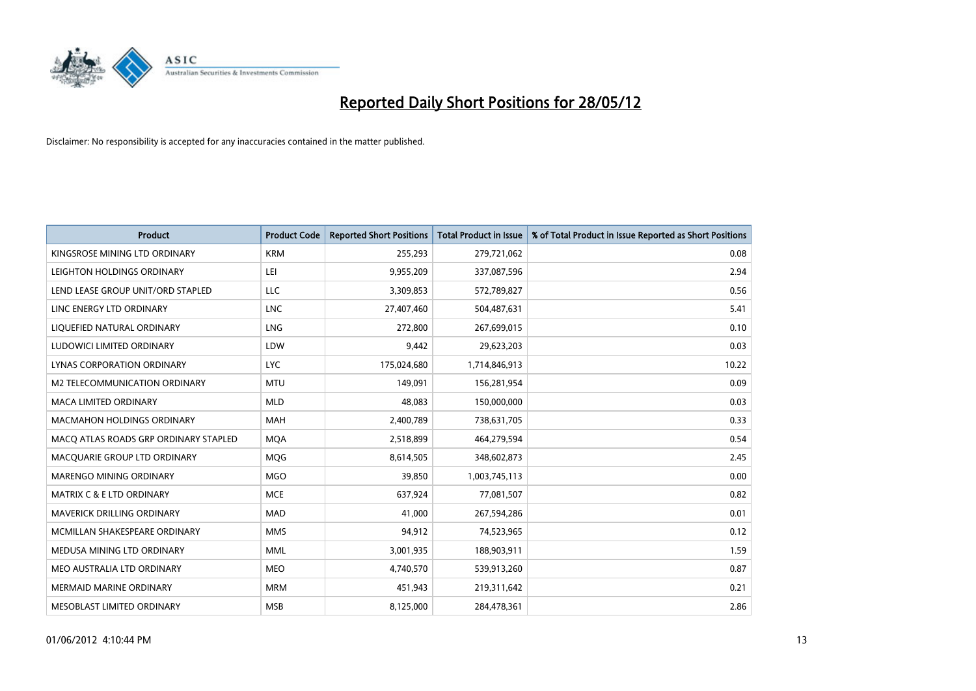

| <b>Product</b>                        | <b>Product Code</b> | <b>Reported Short Positions</b> | <b>Total Product in Issue</b> | % of Total Product in Issue Reported as Short Positions |
|---------------------------------------|---------------------|---------------------------------|-------------------------------|---------------------------------------------------------|
| KINGSROSE MINING LTD ORDINARY         | <b>KRM</b>          | 255,293                         | 279,721,062                   | 0.08                                                    |
| LEIGHTON HOLDINGS ORDINARY            | LEI                 | 9,955,209                       | 337,087,596                   | 2.94                                                    |
| LEND LEASE GROUP UNIT/ORD STAPLED     | LLC                 | 3,309,853                       | 572,789,827                   | 0.56                                                    |
| LINC ENERGY LTD ORDINARY              | <b>LNC</b>          | 27,407,460                      | 504,487,631                   | 5.41                                                    |
| LIQUEFIED NATURAL ORDINARY            | LNG                 | 272,800                         | 267,699,015                   | 0.10                                                    |
| LUDOWICI LIMITED ORDINARY             | LDW                 | 9,442                           | 29,623,203                    | 0.03                                                    |
| LYNAS CORPORATION ORDINARY            | <b>LYC</b>          | 175,024,680                     | 1,714,846,913                 | 10.22                                                   |
| M2 TELECOMMUNICATION ORDINARY         | <b>MTU</b>          | 149,091                         | 156,281,954                   | 0.09                                                    |
| <b>MACA LIMITED ORDINARY</b>          | <b>MLD</b>          | 48.083                          | 150,000,000                   | 0.03                                                    |
| <b>MACMAHON HOLDINGS ORDINARY</b>     | <b>MAH</b>          | 2,400,789                       | 738,631,705                   | 0.33                                                    |
| MACQ ATLAS ROADS GRP ORDINARY STAPLED | <b>MQA</b>          | 2,518,899                       | 464,279,594                   | 0.54                                                    |
| MACQUARIE GROUP LTD ORDINARY          | <b>MOG</b>          | 8,614,505                       | 348,602,873                   | 2.45                                                    |
| MARENGO MINING ORDINARY               | <b>MGO</b>          | 39,850                          | 1,003,745,113                 | 0.00                                                    |
| <b>MATRIX C &amp; E LTD ORDINARY</b>  | <b>MCE</b>          | 637,924                         | 77,081,507                    | 0.82                                                    |
| MAVERICK DRILLING ORDINARY            | <b>MAD</b>          | 41,000                          | 267,594,286                   | 0.01                                                    |
| MCMILLAN SHAKESPEARE ORDINARY         | <b>MMS</b>          | 94,912                          | 74,523,965                    | 0.12                                                    |
| MEDUSA MINING LTD ORDINARY            | <b>MML</b>          | 3,001,935                       | 188,903,911                   | 1.59                                                    |
| MEO AUSTRALIA LTD ORDINARY            | <b>MEO</b>          | 4,740,570                       | 539,913,260                   | 0.87                                                    |
| <b>MERMAID MARINE ORDINARY</b>        | <b>MRM</b>          | 451,943                         | 219,311,642                   | 0.21                                                    |
| MESOBLAST LIMITED ORDINARY            | <b>MSB</b>          | 8,125,000                       | 284,478,361                   | 2.86                                                    |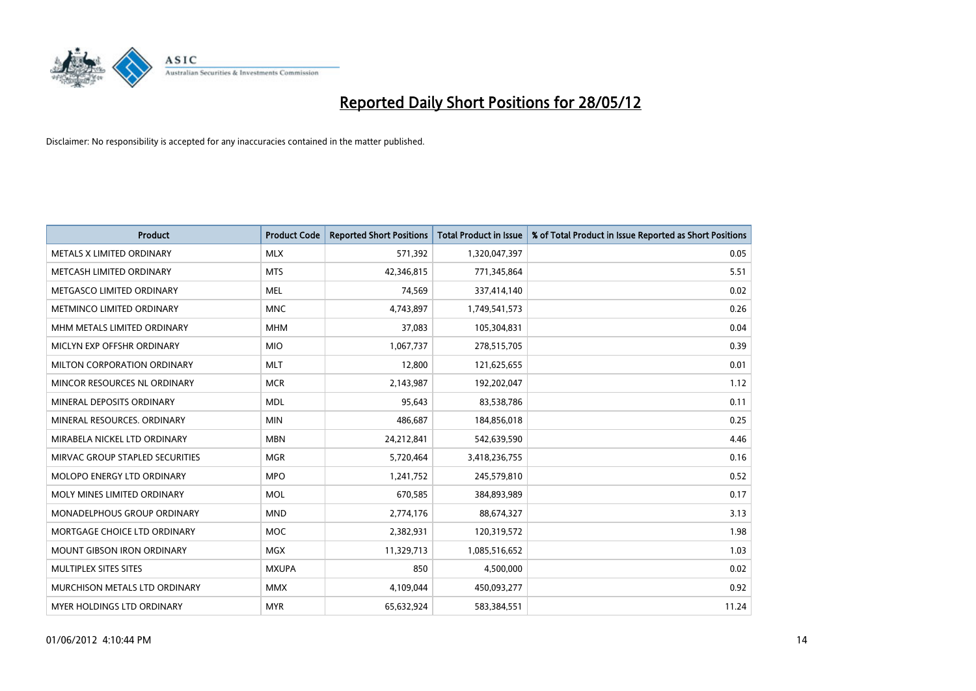

| <b>Product</b>                  | <b>Product Code</b> | <b>Reported Short Positions</b> | <b>Total Product in Issue</b> | % of Total Product in Issue Reported as Short Positions |
|---------------------------------|---------------------|---------------------------------|-------------------------------|---------------------------------------------------------|
| METALS X LIMITED ORDINARY       | <b>MLX</b>          | 571,392                         | 1,320,047,397                 | 0.05                                                    |
| METCASH LIMITED ORDINARY        | <b>MTS</b>          | 42,346,815                      | 771,345,864                   | 5.51                                                    |
| METGASCO LIMITED ORDINARY       | <b>MEL</b>          | 74,569                          | 337,414,140                   | 0.02                                                    |
| METMINCO LIMITED ORDINARY       | <b>MNC</b>          | 4,743,897                       | 1,749,541,573                 | 0.26                                                    |
| MHM METALS LIMITED ORDINARY     | <b>MHM</b>          | 37,083                          | 105,304,831                   | 0.04                                                    |
| MICLYN EXP OFFSHR ORDINARY      | <b>MIO</b>          | 1,067,737                       | 278,515,705                   | 0.39                                                    |
| MILTON CORPORATION ORDINARY     | <b>MLT</b>          | 12,800                          | 121,625,655                   | 0.01                                                    |
| MINCOR RESOURCES NL ORDINARY    | <b>MCR</b>          | 2,143,987                       | 192,202,047                   | 1.12                                                    |
| MINERAL DEPOSITS ORDINARY       | <b>MDL</b>          | 95,643                          | 83,538,786                    | 0.11                                                    |
| MINERAL RESOURCES, ORDINARY     | <b>MIN</b>          | 486,687                         | 184,856,018                   | 0.25                                                    |
| MIRABELA NICKEL LTD ORDINARY    | <b>MBN</b>          | 24,212,841                      | 542,639,590                   | 4.46                                                    |
| MIRVAC GROUP STAPLED SECURITIES | <b>MGR</b>          | 5,720,464                       | 3,418,236,755                 | 0.16                                                    |
| MOLOPO ENERGY LTD ORDINARY      | <b>MPO</b>          | 1,241,752                       | 245,579,810                   | 0.52                                                    |
| MOLY MINES LIMITED ORDINARY     | <b>MOL</b>          | 670,585                         | 384,893,989                   | 0.17                                                    |
| MONADELPHOUS GROUP ORDINARY     | <b>MND</b>          | 2,774,176                       | 88,674,327                    | 3.13                                                    |
| MORTGAGE CHOICE LTD ORDINARY    | <b>MOC</b>          | 2,382,931                       | 120,319,572                   | 1.98                                                    |
| MOUNT GIBSON IRON ORDINARY      | <b>MGX</b>          | 11,329,713                      | 1,085,516,652                 | 1.03                                                    |
| MULTIPLEX SITES SITES           | <b>MXUPA</b>        | 850                             | 4,500,000                     | 0.02                                                    |
| MURCHISON METALS LTD ORDINARY   | <b>MMX</b>          | 4,109,044                       | 450,093,277                   | 0.92                                                    |
| MYER HOLDINGS LTD ORDINARY      | <b>MYR</b>          | 65,632,924                      | 583,384,551                   | 11.24                                                   |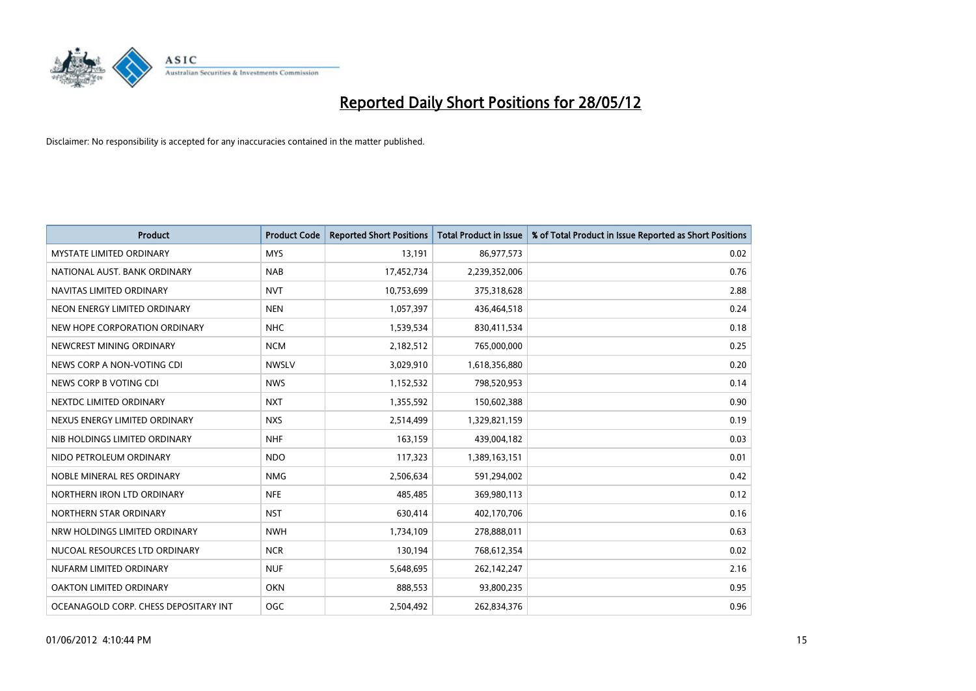

| <b>Product</b>                        | <b>Product Code</b> | <b>Reported Short Positions</b> | <b>Total Product in Issue</b> | % of Total Product in Issue Reported as Short Positions |
|---------------------------------------|---------------------|---------------------------------|-------------------------------|---------------------------------------------------------|
| <b>MYSTATE LIMITED ORDINARY</b>       | <b>MYS</b>          | 13,191                          | 86,977,573                    | 0.02                                                    |
| NATIONAL AUST. BANK ORDINARY          | <b>NAB</b>          | 17,452,734                      | 2,239,352,006                 | 0.76                                                    |
| NAVITAS LIMITED ORDINARY              | <b>NVT</b>          | 10,753,699                      | 375,318,628                   | 2.88                                                    |
| NEON ENERGY LIMITED ORDINARY          | <b>NEN</b>          | 1,057,397                       | 436,464,518                   | 0.24                                                    |
| NEW HOPE CORPORATION ORDINARY         | <b>NHC</b>          | 1,539,534                       | 830,411,534                   | 0.18                                                    |
| NEWCREST MINING ORDINARY              | <b>NCM</b>          | 2,182,512                       | 765,000,000                   | 0.25                                                    |
| NEWS CORP A NON-VOTING CDI            | <b>NWSLV</b>        | 3,029,910                       | 1,618,356,880                 | 0.20                                                    |
| NEWS CORP B VOTING CDI                | <b>NWS</b>          | 1,152,532                       | 798,520,953                   | 0.14                                                    |
| NEXTDC LIMITED ORDINARY               | <b>NXT</b>          | 1,355,592                       | 150,602,388                   | 0.90                                                    |
| NEXUS ENERGY LIMITED ORDINARY         | <b>NXS</b>          | 2,514,499                       | 1,329,821,159                 | 0.19                                                    |
| NIB HOLDINGS LIMITED ORDINARY         | <b>NHF</b>          | 163,159                         | 439,004,182                   | 0.03                                                    |
| NIDO PETROLEUM ORDINARY               | <b>NDO</b>          | 117,323                         | 1,389,163,151                 | 0.01                                                    |
| NOBLE MINERAL RES ORDINARY            | <b>NMG</b>          | 2,506,634                       | 591,294,002                   | 0.42                                                    |
| NORTHERN IRON LTD ORDINARY            | <b>NFE</b>          | 485,485                         | 369,980,113                   | 0.12                                                    |
| NORTHERN STAR ORDINARY                | <b>NST</b>          | 630,414                         | 402,170,706                   | 0.16                                                    |
| NRW HOLDINGS LIMITED ORDINARY         | <b>NWH</b>          | 1,734,109                       | 278,888,011                   | 0.63                                                    |
| NUCOAL RESOURCES LTD ORDINARY         | <b>NCR</b>          | 130,194                         | 768,612,354                   | 0.02                                                    |
| NUFARM LIMITED ORDINARY               | <b>NUF</b>          | 5,648,695                       | 262,142,247                   | 2.16                                                    |
| <b>OAKTON LIMITED ORDINARY</b>        | <b>OKN</b>          | 888,553                         | 93,800,235                    | 0.95                                                    |
| OCEANAGOLD CORP. CHESS DEPOSITARY INT | <b>OGC</b>          | 2,504,492                       | 262,834,376                   | 0.96                                                    |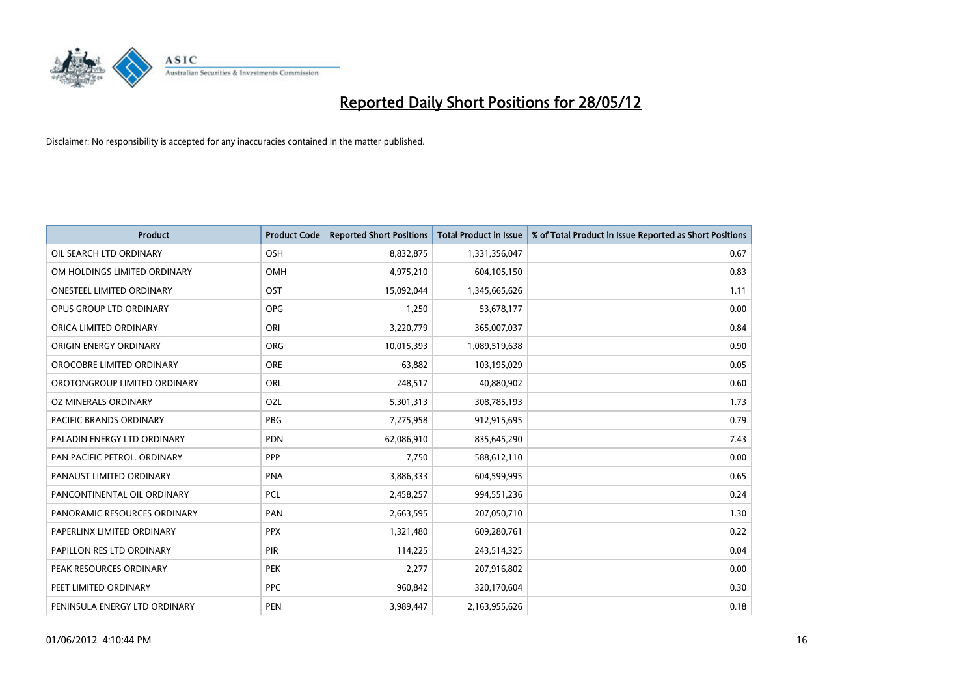

| <b>Product</b>                   | <b>Product Code</b> | <b>Reported Short Positions</b> | <b>Total Product in Issue</b> | % of Total Product in Issue Reported as Short Positions |
|----------------------------------|---------------------|---------------------------------|-------------------------------|---------------------------------------------------------|
| OIL SEARCH LTD ORDINARY          | OSH                 | 8,832,875                       | 1,331,356,047                 | 0.67                                                    |
| OM HOLDINGS LIMITED ORDINARY     | OMH                 | 4,975,210                       | 604,105,150                   | 0.83                                                    |
| <b>ONESTEEL LIMITED ORDINARY</b> | OST                 | 15,092,044                      | 1,345,665,626                 | 1.11                                                    |
| OPUS GROUP LTD ORDINARY          | <b>OPG</b>          | 1,250                           | 53,678,177                    | 0.00                                                    |
| ORICA LIMITED ORDINARY           | ORI                 | 3,220,779                       | 365,007,037                   | 0.84                                                    |
| ORIGIN ENERGY ORDINARY           | <b>ORG</b>          | 10,015,393                      | 1,089,519,638                 | 0.90                                                    |
| OROCOBRE LIMITED ORDINARY        | <b>ORE</b>          | 63,882                          | 103,195,029                   | 0.05                                                    |
| OROTONGROUP LIMITED ORDINARY     | ORL                 | 248,517                         | 40,880,902                    | 0.60                                                    |
| OZ MINERALS ORDINARY             | OZL                 | 5,301,313                       | 308,785,193                   | 1.73                                                    |
| <b>PACIFIC BRANDS ORDINARY</b>   | <b>PBG</b>          | 7,275,958                       | 912,915,695                   | 0.79                                                    |
| PALADIN ENERGY LTD ORDINARY      | <b>PDN</b>          | 62,086,910                      | 835,645,290                   | 7.43                                                    |
| PAN PACIFIC PETROL. ORDINARY     | PPP                 | 7,750                           | 588,612,110                   | 0.00                                                    |
| PANAUST LIMITED ORDINARY         | <b>PNA</b>          | 3,886,333                       | 604,599,995                   | 0.65                                                    |
| PANCONTINENTAL OIL ORDINARY      | <b>PCL</b>          | 2,458,257                       | 994,551,236                   | 0.24                                                    |
| PANORAMIC RESOURCES ORDINARY     | PAN                 | 2,663,595                       | 207,050,710                   | 1.30                                                    |
| PAPERLINX LIMITED ORDINARY       | <b>PPX</b>          | 1,321,480                       | 609,280,761                   | 0.22                                                    |
| PAPILLON RES LTD ORDINARY        | PIR                 | 114,225                         | 243,514,325                   | 0.04                                                    |
| PEAK RESOURCES ORDINARY          | <b>PEK</b>          | 2,277                           | 207,916,802                   | 0.00                                                    |
| PEET LIMITED ORDINARY            | <b>PPC</b>          | 960,842                         | 320,170,604                   | 0.30                                                    |
| PENINSULA ENERGY LTD ORDINARY    | PEN                 | 3,989,447                       | 2,163,955,626                 | 0.18                                                    |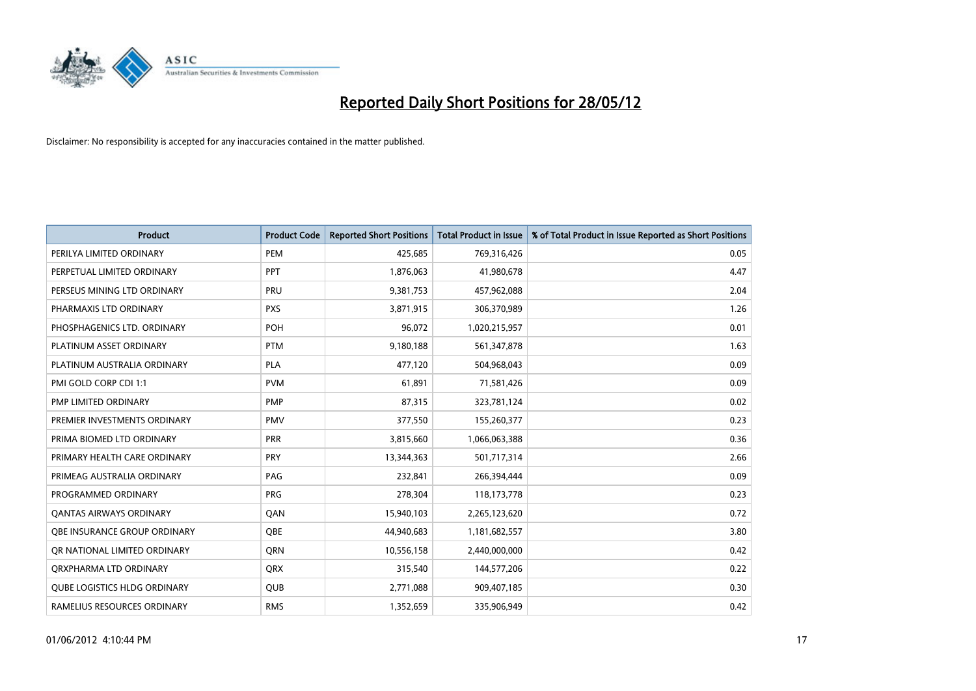

| <b>Product</b>                      | <b>Product Code</b> | <b>Reported Short Positions</b> | <b>Total Product in Issue</b> | % of Total Product in Issue Reported as Short Positions |
|-------------------------------------|---------------------|---------------------------------|-------------------------------|---------------------------------------------------------|
| PERILYA LIMITED ORDINARY            | PEM                 | 425,685                         | 769,316,426                   | 0.05                                                    |
| PERPETUAL LIMITED ORDINARY          | PPT                 | 1,876,063                       | 41,980,678                    | 4.47                                                    |
| PERSEUS MINING LTD ORDINARY         | PRU                 | 9,381,753                       | 457,962,088                   | 2.04                                                    |
| PHARMAXIS LTD ORDINARY              | <b>PXS</b>          | 3,871,915                       | 306,370,989                   | 1.26                                                    |
| PHOSPHAGENICS LTD. ORDINARY         | <b>POH</b>          | 96,072                          | 1,020,215,957                 | 0.01                                                    |
| PLATINUM ASSET ORDINARY             | <b>PTM</b>          | 9,180,188                       | 561,347,878                   | 1.63                                                    |
| PLATINUM AUSTRALIA ORDINARY         | <b>PLA</b>          | 477,120                         | 504,968,043                   | 0.09                                                    |
| PMI GOLD CORP CDI 1:1               | <b>PVM</b>          | 61,891                          | 71,581,426                    | 0.09                                                    |
| PMP LIMITED ORDINARY                | <b>PMP</b>          | 87,315                          | 323,781,124                   | 0.02                                                    |
| PREMIER INVESTMENTS ORDINARY        | <b>PMV</b>          | 377,550                         | 155,260,377                   | 0.23                                                    |
| PRIMA BIOMED LTD ORDINARY           | <b>PRR</b>          | 3,815,660                       | 1,066,063,388                 | 0.36                                                    |
| PRIMARY HEALTH CARE ORDINARY        | <b>PRY</b>          | 13,344,363                      | 501,717,314                   | 2.66                                                    |
| PRIMEAG AUSTRALIA ORDINARY          | PAG                 | 232,841                         | 266,394,444                   | 0.09                                                    |
| PROGRAMMED ORDINARY                 | <b>PRG</b>          | 278,304                         | 118,173,778                   | 0.23                                                    |
| <b>QANTAS AIRWAYS ORDINARY</b>      | QAN                 | 15,940,103                      | 2,265,123,620                 | 0.72                                                    |
| OBE INSURANCE GROUP ORDINARY        | OBE                 | 44,940,683                      | 1,181,682,557                 | 3.80                                                    |
| OR NATIONAL LIMITED ORDINARY        | <b>ORN</b>          | 10,556,158                      | 2,440,000,000                 | 0.42                                                    |
| ORXPHARMA LTD ORDINARY              | <b>ORX</b>          | 315,540                         | 144,577,206                   | 0.22                                                    |
| <b>QUBE LOGISTICS HLDG ORDINARY</b> | QUB                 | 2,771,088                       | 909,407,185                   | 0.30                                                    |
| RAMELIUS RESOURCES ORDINARY         | <b>RMS</b>          | 1,352,659                       | 335,906,949                   | 0.42                                                    |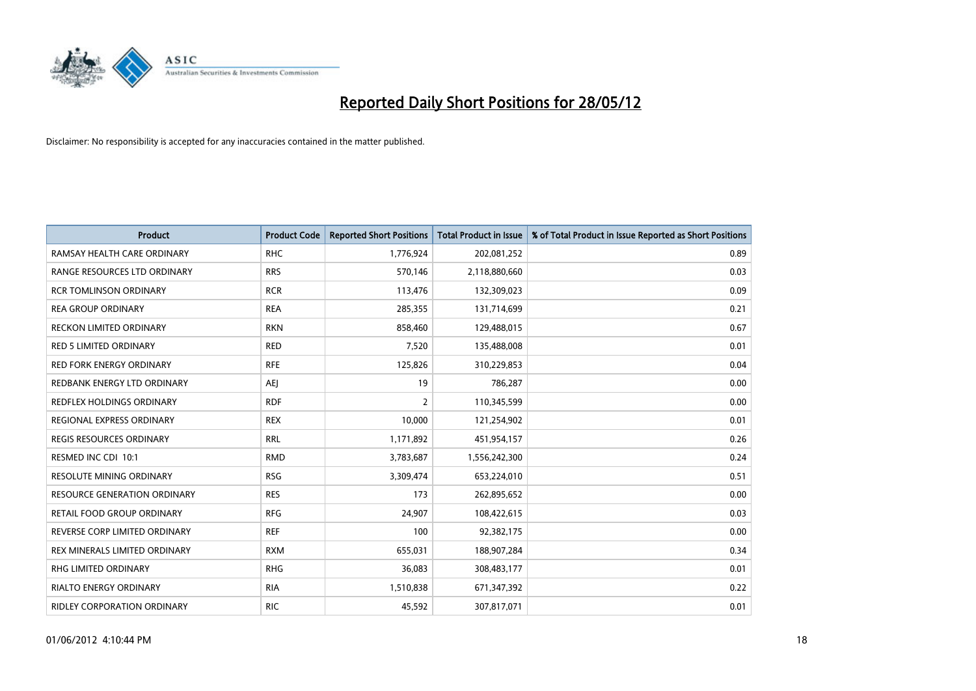

| <b>Product</b>                      | <b>Product Code</b> | <b>Reported Short Positions</b> | <b>Total Product in Issue</b> | % of Total Product in Issue Reported as Short Positions |
|-------------------------------------|---------------------|---------------------------------|-------------------------------|---------------------------------------------------------|
| RAMSAY HEALTH CARE ORDINARY         | <b>RHC</b>          | 1,776,924                       | 202,081,252                   | 0.89                                                    |
| RANGE RESOURCES LTD ORDINARY        | <b>RRS</b>          | 570,146                         | 2,118,880,660                 | 0.03                                                    |
| <b>RCR TOMLINSON ORDINARY</b>       | <b>RCR</b>          | 113,476                         | 132,309,023                   | 0.09                                                    |
| <b>REA GROUP ORDINARY</b>           | <b>REA</b>          | 285,355                         | 131,714,699                   | 0.21                                                    |
| <b>RECKON LIMITED ORDINARY</b>      | <b>RKN</b>          | 858,460                         | 129,488,015                   | 0.67                                                    |
| <b>RED 5 LIMITED ORDINARY</b>       | <b>RED</b>          | 7,520                           | 135,488,008                   | 0.01                                                    |
| <b>RED FORK ENERGY ORDINARY</b>     | <b>RFE</b>          | 125,826                         | 310,229,853                   | 0.04                                                    |
| REDBANK ENERGY LTD ORDINARY         | <b>AEJ</b>          | 19                              | 786,287                       | 0.00                                                    |
| <b>REDFLEX HOLDINGS ORDINARY</b>    | <b>RDF</b>          | $\overline{2}$                  | 110,345,599                   | 0.00                                                    |
| REGIONAL EXPRESS ORDINARY           | <b>REX</b>          | 10,000                          | 121,254,902                   | 0.01                                                    |
| <b>REGIS RESOURCES ORDINARY</b>     | <b>RRL</b>          | 1,171,892                       | 451,954,157                   | 0.26                                                    |
| RESMED INC CDI 10:1                 | <b>RMD</b>          | 3,783,687                       | 1,556,242,300                 | 0.24                                                    |
| RESOLUTE MINING ORDINARY            | <b>RSG</b>          | 3,309,474                       | 653,224,010                   | 0.51                                                    |
| <b>RESOURCE GENERATION ORDINARY</b> | <b>RES</b>          | 173                             | 262,895,652                   | 0.00                                                    |
| <b>RETAIL FOOD GROUP ORDINARY</b>   | <b>RFG</b>          | 24,907                          | 108,422,615                   | 0.03                                                    |
| REVERSE CORP LIMITED ORDINARY       | <b>REF</b>          | 100                             | 92,382,175                    | 0.00                                                    |
| REX MINERALS LIMITED ORDINARY       | <b>RXM</b>          | 655,031                         | 188,907,284                   | 0.34                                                    |
| RHG LIMITED ORDINARY                | <b>RHG</b>          | 36,083                          | 308,483,177                   | 0.01                                                    |
| <b>RIALTO ENERGY ORDINARY</b>       | <b>RIA</b>          | 1,510,838                       | 671,347,392                   | 0.22                                                    |
| <b>RIDLEY CORPORATION ORDINARY</b>  | <b>RIC</b>          | 45,592                          | 307,817,071                   | 0.01                                                    |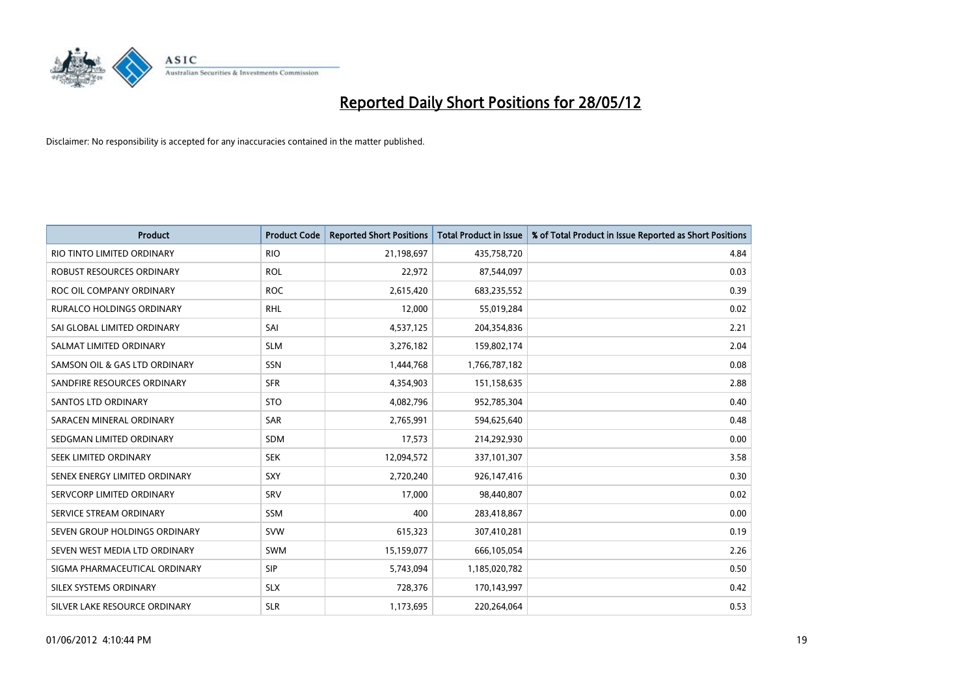

| <b>Product</b>                   | <b>Product Code</b> | <b>Reported Short Positions</b> | <b>Total Product in Issue</b> | % of Total Product in Issue Reported as Short Positions |
|----------------------------------|---------------------|---------------------------------|-------------------------------|---------------------------------------------------------|
| RIO TINTO LIMITED ORDINARY       | <b>RIO</b>          | 21,198,697                      | 435,758,720                   | 4.84                                                    |
| ROBUST RESOURCES ORDINARY        | <b>ROL</b>          | 22,972                          | 87,544,097                    | 0.03                                                    |
| ROC OIL COMPANY ORDINARY         | <b>ROC</b>          | 2,615,420                       | 683,235,552                   | 0.39                                                    |
| <b>RURALCO HOLDINGS ORDINARY</b> | <b>RHL</b>          | 12,000                          | 55,019,284                    | 0.02                                                    |
| SAI GLOBAL LIMITED ORDINARY      | SAI                 | 4,537,125                       | 204,354,836                   | 2.21                                                    |
| SALMAT LIMITED ORDINARY          | <b>SLM</b>          | 3,276,182                       | 159,802,174                   | 2.04                                                    |
| SAMSON OIL & GAS LTD ORDINARY    | SSN                 | 1,444,768                       | 1,766,787,182                 | 0.08                                                    |
| SANDFIRE RESOURCES ORDINARY      | <b>SFR</b>          | 4,354,903                       | 151,158,635                   | 2.88                                                    |
| SANTOS LTD ORDINARY              | <b>STO</b>          | 4,082,796                       | 952,785,304                   | 0.40                                                    |
| SARACEN MINERAL ORDINARY         | <b>SAR</b>          | 2,765,991                       | 594,625,640                   | 0.48                                                    |
| SEDGMAN LIMITED ORDINARY         | <b>SDM</b>          | 17,573                          | 214,292,930                   | 0.00                                                    |
| <b>SEEK LIMITED ORDINARY</b>     | <b>SEK</b>          | 12,094,572                      | 337,101,307                   | 3.58                                                    |
| SENEX ENERGY LIMITED ORDINARY    | <b>SXY</b>          | 2,720,240                       | 926,147,416                   | 0.30                                                    |
| SERVCORP LIMITED ORDINARY        | SRV                 | 17,000                          | 98,440,807                    | 0.02                                                    |
| SERVICE STREAM ORDINARY          | SSM                 | 400                             | 283,418,867                   | 0.00                                                    |
| SEVEN GROUP HOLDINGS ORDINARY    | <b>SVW</b>          | 615,323                         | 307,410,281                   | 0.19                                                    |
| SEVEN WEST MEDIA LTD ORDINARY    | SWM                 | 15,159,077                      | 666,105,054                   | 2.26                                                    |
| SIGMA PHARMACEUTICAL ORDINARY    | <b>SIP</b>          | 5,743,094                       | 1,185,020,782                 | 0.50                                                    |
| SILEX SYSTEMS ORDINARY           | <b>SLX</b>          | 728,376                         | 170,143,997                   | 0.42                                                    |
| SILVER LAKE RESOURCE ORDINARY    | <b>SLR</b>          | 1,173,695                       | 220,264,064                   | 0.53                                                    |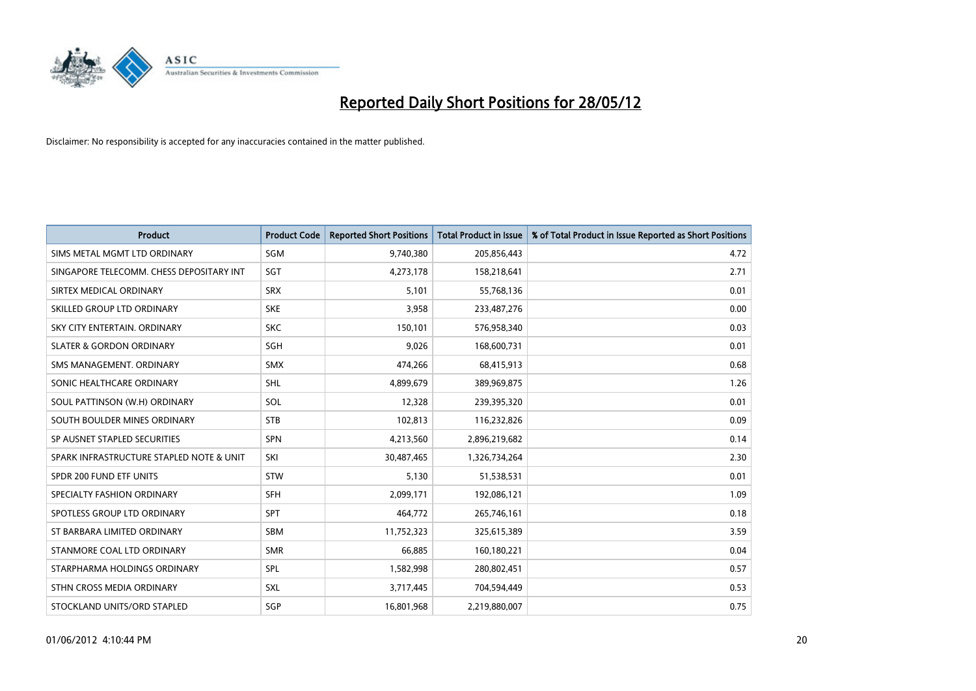

| <b>Product</b>                           | <b>Product Code</b> | <b>Reported Short Positions</b> | <b>Total Product in Issue</b> | % of Total Product in Issue Reported as Short Positions |
|------------------------------------------|---------------------|---------------------------------|-------------------------------|---------------------------------------------------------|
| SIMS METAL MGMT LTD ORDINARY             | SGM                 | 9,740,380                       | 205,856,443                   | 4.72                                                    |
| SINGAPORE TELECOMM. CHESS DEPOSITARY INT | <b>SGT</b>          | 4,273,178                       | 158,218,641                   | 2.71                                                    |
| SIRTEX MEDICAL ORDINARY                  | <b>SRX</b>          | 5,101                           | 55,768,136                    | 0.01                                                    |
| SKILLED GROUP LTD ORDINARY               | <b>SKE</b>          | 3,958                           | 233,487,276                   | 0.00                                                    |
| SKY CITY ENTERTAIN, ORDINARY             | <b>SKC</b>          | 150,101                         | 576,958,340                   | 0.03                                                    |
| <b>SLATER &amp; GORDON ORDINARY</b>      | SGH                 | 9,026                           | 168,600,731                   | 0.01                                                    |
| SMS MANAGEMENT, ORDINARY                 | <b>SMX</b>          | 474,266                         | 68,415,913                    | 0.68                                                    |
| SONIC HEALTHCARE ORDINARY                | SHL                 | 4,899,679                       | 389,969,875                   | 1.26                                                    |
| SOUL PATTINSON (W.H) ORDINARY            | SOL                 | 12,328                          | 239,395,320                   | 0.01                                                    |
| SOUTH BOULDER MINES ORDINARY             | <b>STB</b>          | 102,813                         | 116,232,826                   | 0.09                                                    |
| SP AUSNET STAPLED SECURITIES             | SPN                 | 4,213,560                       | 2,896,219,682                 | 0.14                                                    |
| SPARK INFRASTRUCTURE STAPLED NOTE & UNIT | SKI                 | 30,487,465                      | 1,326,734,264                 | 2.30                                                    |
| SPDR 200 FUND ETF UNITS                  | <b>STW</b>          | 5,130                           | 51,538,531                    | 0.01                                                    |
| SPECIALTY FASHION ORDINARY               | SFH                 | 2,099,171                       | 192,086,121                   | 1.09                                                    |
| SPOTLESS GROUP LTD ORDINARY              | <b>SPT</b>          | 464,772                         | 265,746,161                   | 0.18                                                    |
| ST BARBARA LIMITED ORDINARY              | SBM                 | 11,752,323                      | 325,615,389                   | 3.59                                                    |
| STANMORE COAL LTD ORDINARY               | <b>SMR</b>          | 66,885                          | 160,180,221                   | 0.04                                                    |
| STARPHARMA HOLDINGS ORDINARY             | <b>SPL</b>          | 1,582,998                       | 280,802,451                   | 0.57                                                    |
| STHN CROSS MEDIA ORDINARY                | <b>SXL</b>          | 3,717,445                       | 704,594,449                   | 0.53                                                    |
| STOCKLAND UNITS/ORD STAPLED              | SGP                 | 16,801,968                      | 2,219,880,007                 | 0.75                                                    |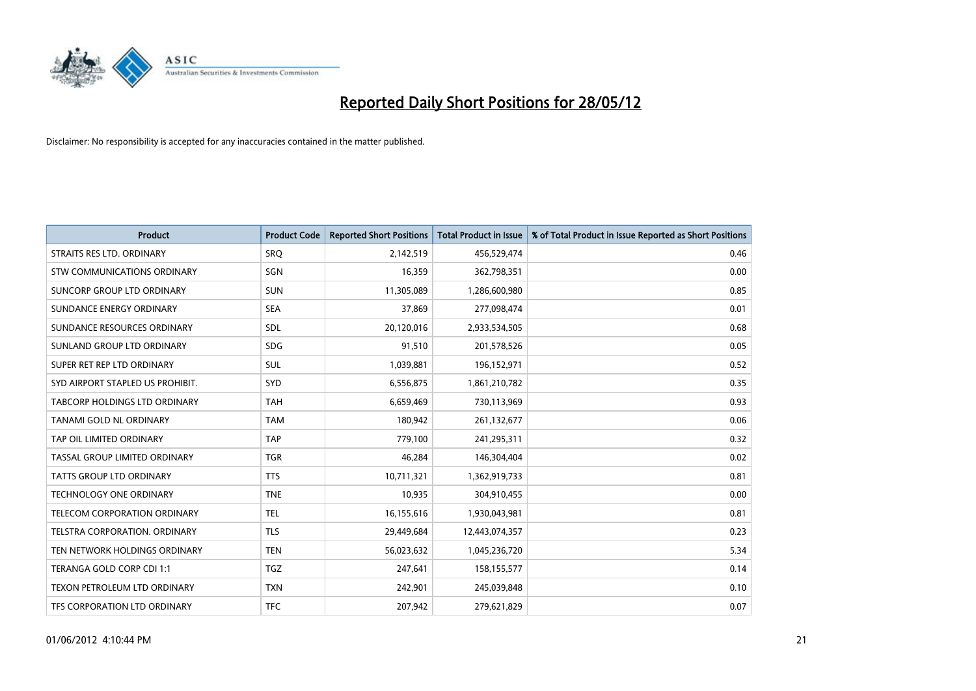

| <b>Product</b>                   | <b>Product Code</b> | <b>Reported Short Positions</b> | <b>Total Product in Issue</b> | % of Total Product in Issue Reported as Short Positions |
|----------------------------------|---------------------|---------------------------------|-------------------------------|---------------------------------------------------------|
| STRAITS RES LTD. ORDINARY        | SRO                 | 2,142,519                       | 456,529,474                   | 0.46                                                    |
| STW COMMUNICATIONS ORDINARY      | SGN                 | 16,359                          | 362,798,351                   | 0.00                                                    |
| SUNCORP GROUP LTD ORDINARY       | <b>SUN</b>          | 11,305,089                      | 1,286,600,980                 | 0.85                                                    |
| SUNDANCE ENERGY ORDINARY         | <b>SEA</b>          | 37,869                          | 277,098,474                   | 0.01                                                    |
| SUNDANCE RESOURCES ORDINARY      | SDL                 | 20,120,016                      | 2,933,534,505                 | 0.68                                                    |
| SUNLAND GROUP LTD ORDINARY       | <b>SDG</b>          | 91,510                          | 201,578,526                   | 0.05                                                    |
| SUPER RET REP LTD ORDINARY       | SUL                 | 1,039,881                       | 196,152,971                   | 0.52                                                    |
| SYD AIRPORT STAPLED US PROHIBIT. | SYD                 | 6,556,875                       | 1,861,210,782                 | 0.35                                                    |
| TABCORP HOLDINGS LTD ORDINARY    | <b>TAH</b>          | 6,659,469                       | 730,113,969                   | 0.93                                                    |
| TANAMI GOLD NL ORDINARY          | <b>TAM</b>          | 180,942                         | 261,132,677                   | 0.06                                                    |
| TAP OIL LIMITED ORDINARY         | <b>TAP</b>          | 779,100                         | 241,295,311                   | 0.32                                                    |
| TASSAL GROUP LIMITED ORDINARY    | <b>TGR</b>          | 46,284                          | 146,304,404                   | 0.02                                                    |
| TATTS GROUP LTD ORDINARY         | <b>TTS</b>          | 10,711,321                      | 1,362,919,733                 | 0.81                                                    |
| <b>TECHNOLOGY ONE ORDINARY</b>   | <b>TNE</b>          | 10,935                          | 304,910,455                   | 0.00                                                    |
| TELECOM CORPORATION ORDINARY     | <b>TEL</b>          | 16,155,616                      | 1,930,043,981                 | 0.81                                                    |
| TELSTRA CORPORATION. ORDINARY    | <b>TLS</b>          | 29,449,684                      | 12,443,074,357                | 0.23                                                    |
| TEN NETWORK HOLDINGS ORDINARY    | <b>TEN</b>          | 56,023,632                      | 1,045,236,720                 | 5.34                                                    |
| TERANGA GOLD CORP CDI 1:1        | <b>TGZ</b>          | 247,641                         | 158,155,577                   | 0.14                                                    |
| TEXON PETROLEUM LTD ORDINARY     | <b>TXN</b>          | 242,901                         | 245,039,848                   | 0.10                                                    |
| TFS CORPORATION LTD ORDINARY     | <b>TFC</b>          | 207,942                         | 279,621,829                   | 0.07                                                    |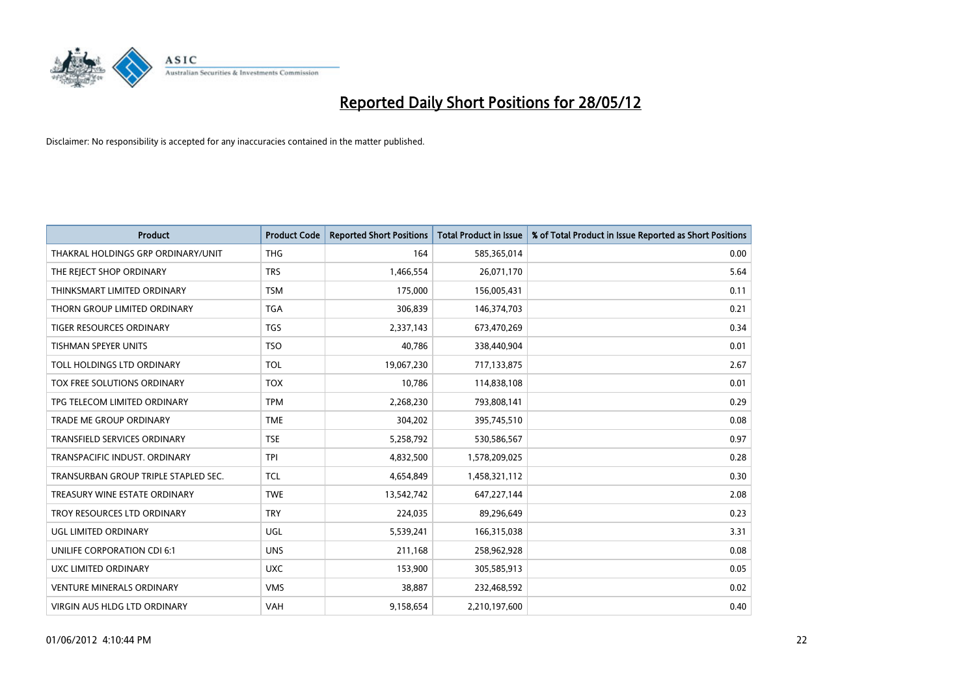

| Product                              | <b>Product Code</b> | <b>Reported Short Positions</b> | <b>Total Product in Issue</b> | % of Total Product in Issue Reported as Short Positions |
|--------------------------------------|---------------------|---------------------------------|-------------------------------|---------------------------------------------------------|
| THAKRAL HOLDINGS GRP ORDINARY/UNIT   | <b>THG</b>          | 164                             | 585,365,014                   | 0.00                                                    |
| THE REJECT SHOP ORDINARY             | <b>TRS</b>          | 1,466,554                       | 26,071,170                    | 5.64                                                    |
| THINKSMART LIMITED ORDINARY          | <b>TSM</b>          | 175,000                         | 156,005,431                   | 0.11                                                    |
| THORN GROUP LIMITED ORDINARY         | <b>TGA</b>          | 306,839                         | 146,374,703                   | 0.21                                                    |
| <b>TIGER RESOURCES ORDINARY</b>      | <b>TGS</b>          | 2,337,143                       | 673,470,269                   | 0.34                                                    |
| <b>TISHMAN SPEYER UNITS</b>          | <b>TSO</b>          | 40,786                          | 338,440,904                   | 0.01                                                    |
| TOLL HOLDINGS LTD ORDINARY           | <b>TOL</b>          | 19,067,230                      | 717,133,875                   | 2.67                                                    |
| TOX FREE SOLUTIONS ORDINARY          | <b>TOX</b>          | 10,786                          | 114,838,108                   | 0.01                                                    |
| TPG TELECOM LIMITED ORDINARY         | <b>TPM</b>          | 2,268,230                       | 793,808,141                   | 0.29                                                    |
| <b>TRADE ME GROUP ORDINARY</b>       | <b>TME</b>          | 304,202                         | 395,745,510                   | 0.08                                                    |
| TRANSFIELD SERVICES ORDINARY         | <b>TSE</b>          | 5,258,792                       | 530,586,567                   | 0.97                                                    |
| TRANSPACIFIC INDUST, ORDINARY        | <b>TPI</b>          | 4,832,500                       | 1,578,209,025                 | 0.28                                                    |
| TRANSURBAN GROUP TRIPLE STAPLED SEC. | <b>TCL</b>          | 4,654,849                       | 1,458,321,112                 | 0.30                                                    |
| TREASURY WINE ESTATE ORDINARY        | <b>TWE</b>          | 13,542,742                      | 647,227,144                   | 2.08                                                    |
| TROY RESOURCES LTD ORDINARY          | <b>TRY</b>          | 224,035                         | 89,296,649                    | 0.23                                                    |
| UGL LIMITED ORDINARY                 | UGL                 | 5,539,241                       | 166,315,038                   | 3.31                                                    |
| UNILIFE CORPORATION CDI 6:1          | <b>UNS</b>          | 211,168                         | 258,962,928                   | 0.08                                                    |
| UXC LIMITED ORDINARY                 | <b>UXC</b>          | 153,900                         | 305,585,913                   | 0.05                                                    |
| <b>VENTURE MINERALS ORDINARY</b>     | <b>VMS</b>          | 38,887                          | 232,468,592                   | 0.02                                                    |
| VIRGIN AUS HLDG LTD ORDINARY         | <b>VAH</b>          | 9,158,654                       | 2,210,197,600                 | 0.40                                                    |